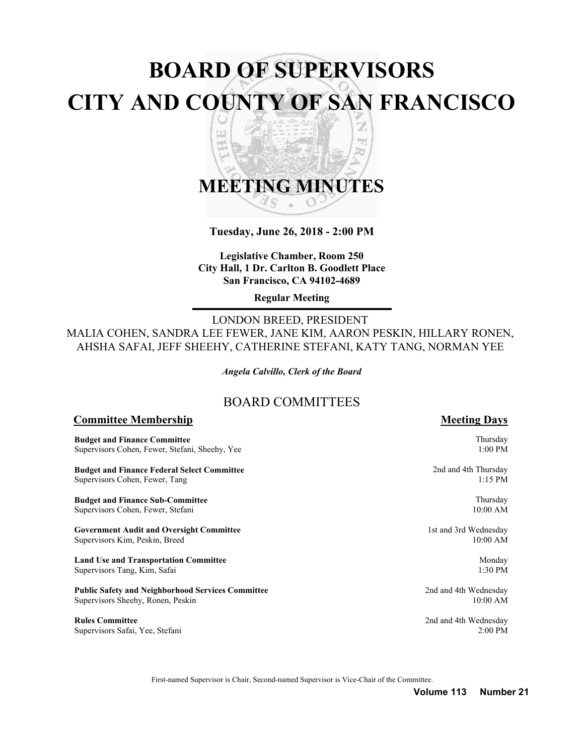# **BOARD OF SUPERVISORS CITY AND COUNTY OF SAN FRANCISCO** z

띠

## **MEETING MINUTES** S

h<sub>il</sub> ъ

**Tuesday, June 26, 2018 - 2:00 PM**

**Legislative Chamber, Room 250 City Hall, 1 Dr. Carlton B. Goodlett Place San Francisco, CA 94102-4689**

**Regular Meeting**

LONDON BREED, PRESIDENT MALIA COHEN, SANDRA LEE FEWER, JANE KIM, AARON PESKIN, HILLARY RONEN, AHSHA SAFAI, JEFF SHEEHY, CATHERINE STEFANI, KATY TANG, NORMAN YEE

*Angela Calvillo, Clerk of the Board*

## BOARD COMMITTEES

#### **Committee Membership Meeting Days Meeting Days**

**Budget and Finance Committee** Supervisors Cohen, Fewer, Stefani, Sheehy, Yee

**Budget and Finance Federal Select Committee** Supervisors Cohen, Fewer, Tang

**Budget and Finance Sub-Committee** Supervisors Cohen, Fewer, Stefani

**Government Audit and Oversight Committee** Supervisors Kim, Peskin, Breed

**Land Use and Transportation Committee** Supervisors Tang, Kim, Safai

**Public Safety and Neighborhood Services Committee** Supervisors Sheehy, Ronen, Peskin

**Rules Committee** Supervisors Safai, Yee, Stefani

Thursday 1:00 PM

2nd and 4th Thursday 1:15 PM

> Thursday 10:00 AM

1st and 3rd Wednesday 10:00 AM

> Monday 1:30 PM

2nd and 4th Wednesday 10:00 AM

2nd and 4th Wednesday 2:00 PM

First-named Supervisor is Chair, Second-named Supervisor is Vice-Chair of the Committee.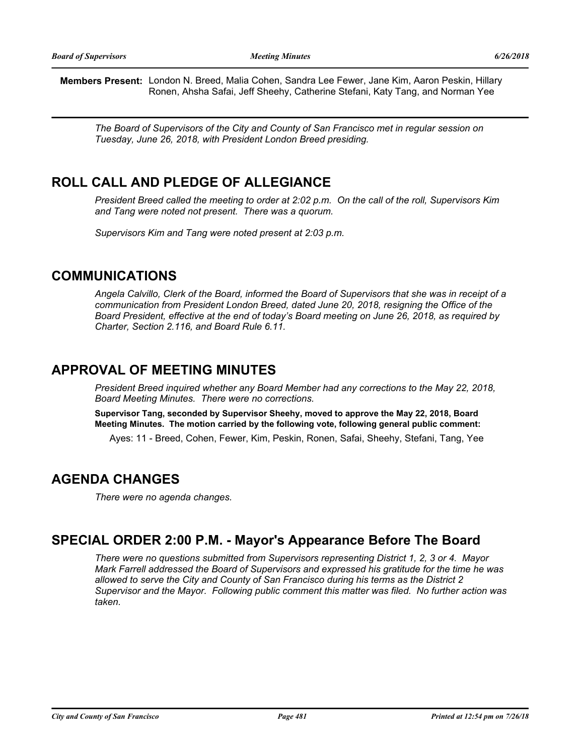**Members Present:** London N. Breed, Malia Cohen, Sandra Lee Fewer, Jane Kim, Aaron Peskin, Hillary Ronen, Ahsha Safai, Jeff Sheehy, Catherine Stefani, Katy Tang, and Norman Yee

*The Board of Supervisors of the City and County of San Francisco met in regular session on Tuesday, June 26, 2018, with President London Breed presiding.*

## **ROLL CALL AND PLEDGE OF ALLEGIANCE**

*President Breed called the meeting to order at 2:02 p.m. On the call of the roll, Supervisors Kim and Tang were noted not present. There was a quorum.*

*Supervisors Kim and Tang were noted present at 2:03 p.m.*

## **COMMUNICATIONS**

*Angela Calvillo, Clerk of the Board, informed the Board of Supervisors that she was in receipt of a communication from President London Breed, dated June 20, 2018, resigning the Office of the Board President, effective at the end of today's Board meeting on June 26, 2018, as required by Charter, Section 2.116, and Board Rule 6.11.*

## **APPROVAL OF MEETING MINUTES**

*President Breed inquired whether any Board Member had any corrections to the May 22, 2018, Board Meeting Minutes. There were no corrections.*

**Supervisor Tang, seconded by Supervisor Sheehy, moved to approve the May 22, 2018, Board Meeting Minutes. The motion carried by the following vote, following general public comment:**

Ayes: 11 - Breed, Cohen, Fewer, Kim, Peskin, Ronen, Safai, Sheehy, Stefani, Tang, Yee

## **AGENDA CHANGES**

*There were no agenda changes.*

## **SPECIAL ORDER 2:00 P.M. - Mayor's Appearance Before The Board**

*There were no questions submitted from Supervisors representing District 1, 2, 3 or 4. Mayor Mark Farrell addressed the Board of Supervisors and expressed his gratitude for the time he was allowed to serve the City and County of San Francisco during his terms as the District 2 Supervisor and the Mayor. Following public comment this matter was filed. No further action was taken.*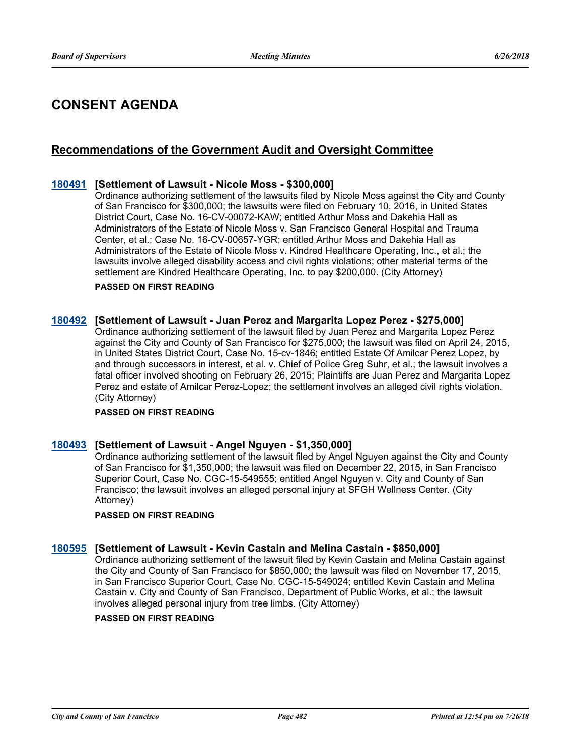## **CONSENT AGENDA**

## **Recommendations of the Government Audit and Oversight Committee**

### **[180491](http://sfgov.legistar.com/gateway.aspx?m=l&id=33360) [Settlement of Lawsuit - Nicole Moss - \$300,000]**

Ordinance authorizing settlement of the lawsuits filed by Nicole Moss against the City and County of San Francisco for \$300,000; the lawsuits were filed on February 10, 2016, in United States District Court, Case No. 16-CV-00072-KAW; entitled Arthur Moss and Dakehia Hall as Administrators of the Estate of Nicole Moss v. San Francisco General Hospital and Trauma Center, et al.; Case No. 16-CV-00657-YGR; entitled Arthur Moss and Dakehia Hall as Administrators of the Estate of Nicole Moss v. Kindred Healthcare Operating, Inc., et al.; the lawsuits involve alleged disability access and civil rights violations; other material terms of the settlement are Kindred Healthcare Operating, Inc. to pay \$200,000. (City Attorney)

#### **PASSED ON FIRST READING**

#### **[180492](http://sfgov.legistar.com/gateway.aspx?m=l&id=33361) [Settlement of Lawsuit - Juan Perez and Margarita Lopez Perez - \$275,000]**

Ordinance authorizing settlement of the lawsuit filed by Juan Perez and Margarita Lopez Perez against the City and County of San Francisco for \$275,000; the lawsuit was filed on April 24, 2015, in United States District Court, Case No. 15-cv-1846; entitled Estate Of Amilcar Perez Lopez, by and through successors in interest, et al. v. Chief of Police Greg Suhr, et al.; the lawsuit involves a fatal officer involved shooting on February 26, 2015; Plaintiffs are Juan Perez and Margarita Lopez Perez and estate of Amilcar Perez-Lopez; the settlement involves an alleged civil rights violation. (City Attorney)

#### **PASSED ON FIRST READING**

#### **[180493](http://sfgov.legistar.com/gateway.aspx?m=l&id=33362) [Settlement of Lawsuit - Angel Nguyen - \$1,350,000]**

Ordinance authorizing settlement of the lawsuit filed by Angel Nguyen against the City and County of San Francisco for \$1,350,000; the lawsuit was filed on December 22, 2015, in San Francisco Superior Court, Case No. CGC-15-549555; entitled Angel Nguyen v. City and County of San Francisco; the lawsuit involves an alleged personal injury at SFGH Wellness Center. (City Attorney)

#### **PASSED ON FIRST READING**

#### **[180595](http://sfgov.legistar.com/gateway.aspx?m=l&id=33464) [Settlement of Lawsuit - Kevin Castain and Melina Castain - \$850,000]**

Ordinance authorizing settlement of the lawsuit filed by Kevin Castain and Melina Castain against the City and County of San Francisco for \$850,000; the lawsuit was filed on November 17, 2015, in San Francisco Superior Court, Case No. CGC-15-549024; entitled Kevin Castain and Melina Castain v. City and County of San Francisco, Department of Public Works, et al.; the lawsuit involves alleged personal injury from tree limbs. (City Attorney)

#### **PASSED ON FIRST READING**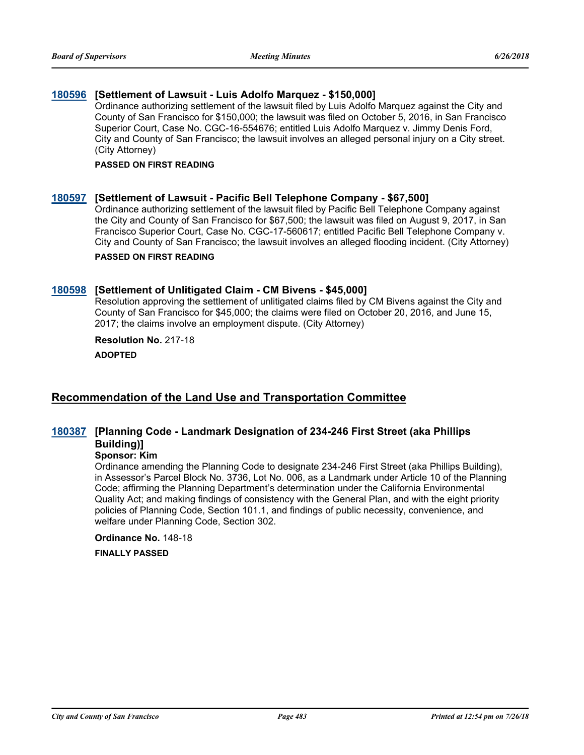## **[180596](http://sfgov.legistar.com/gateway.aspx?m=l&id=33465) [Settlement of Lawsuit - Luis Adolfo Marquez - \$150,000]**

Ordinance authorizing settlement of the lawsuit filed by Luis Adolfo Marquez against the City and County of San Francisco for \$150,000; the lawsuit was filed on October 5, 2016, in San Francisco Superior Court, Case No. CGC-16-554676; entitled Luis Adolfo Marquez v. Jimmy Denis Ford, City and County of San Francisco; the lawsuit involves an alleged personal injury on a City street. (City Attorney)

#### **PASSED ON FIRST READING**

#### **[180597](http://sfgov.legistar.com/gateway.aspx?m=l&id=33466) [Settlement of Lawsuit - Pacific Bell Telephone Company - \$67,500]**

Ordinance authorizing settlement of the lawsuit filed by Pacific Bell Telephone Company against the City and County of San Francisco for \$67,500; the lawsuit was filed on August 9, 2017, in San Francisco Superior Court, Case No. CGC-17-560617; entitled Pacific Bell Telephone Company v. City and County of San Francisco; the lawsuit involves an alleged flooding incident. (City Attorney)

#### **PASSED ON FIRST READING**

#### **[180598](http://sfgov.legistar.com/gateway.aspx?m=l&id=33467) [Settlement of Unlitigated Claim - CM Bivens - \$45,000]**

Resolution approving the settlement of unlitigated claims filed by CM Bivens against the City and County of San Francisco for \$45,000; the claims were filed on October 20, 2016, and June 15, 2017; the claims involve an employment dispute. (City Attorney)

#### **Resolution No.** 217-18

**ADOPTED**

## **Recommendation of the Land Use and Transportation Committee**

## **[Planning Code - Landmark Designation of 234-246 First Street (aka Phillips [180387](http://sfgov.legistar.com/gateway.aspx?m=l&id=33256) Building)]**

### **Sponsor: Kim**

Ordinance amending the Planning Code to designate 234-246 First Street (aka Phillips Building), in Assessor's Parcel Block No. 3736, Lot No. 006, as a Landmark under Article 10 of the Planning Code; affirming the Planning Department's determination under the California Environmental Quality Act; and making findings of consistency with the General Plan, and with the eight priority policies of Planning Code, Section 101.1, and findings of public necessity, convenience, and welfare under Planning Code, Section 302.

**Ordinance No.** 148-18

**FINALLY PASSED**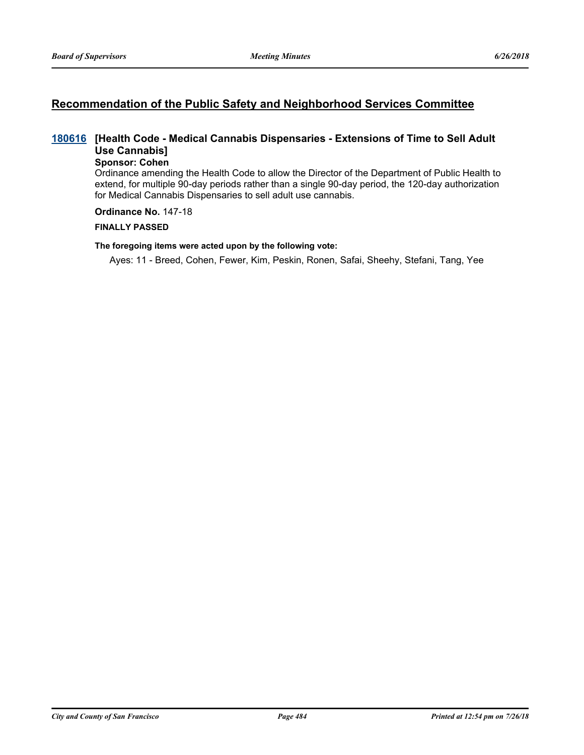## **Recommendation of the Public Safety and Neighborhood Services Committee**

## **[Health Code - Medical Cannabis Dispensaries - Extensions of Time to Sell Adult [180616](http://sfgov.legistar.com/gateway.aspx?m=l&id=33485) Use Cannabis]**

## **Sponsor: Cohen**

Ordinance amending the Health Code to allow the Director of the Department of Public Health to extend, for multiple 90-day periods rather than a single 90-day period, the 120-day authorization for Medical Cannabis Dispensaries to sell adult use cannabis.

#### **Ordinance No.** 147-18

#### **FINALLY PASSED**

#### **The foregoing items were acted upon by the following vote:**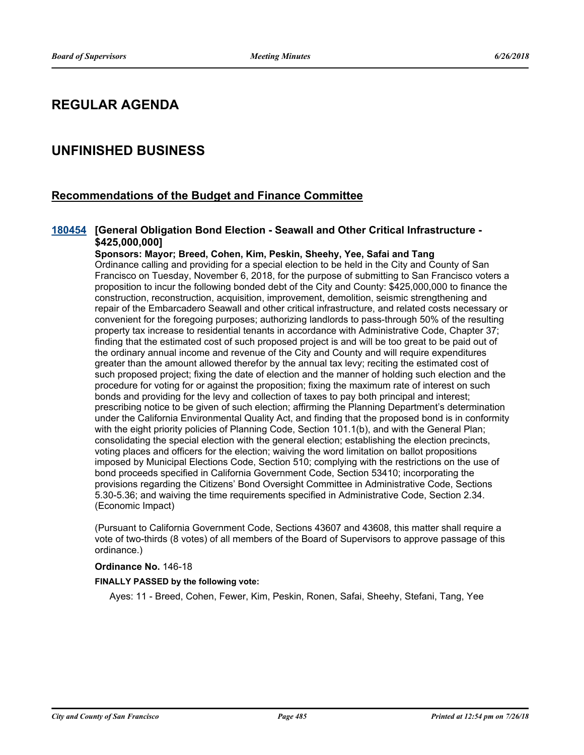## **REGULAR AGENDA**

## **UNFINISHED BUSINESS**

## **Recommendations of the Budget and Finance Committee**

### [180454](http://sfgov.legistar.com/gateway.aspx?m=l&id=33323) [General Obligation Bond Election - Seawall and Other Critical Infrastructure -**\$425,000,000]**

**Sponsors: Mayor; Breed, Cohen, Kim, Peskin, Sheehy, Yee, Safai and Tang** Ordinance calling and providing for a special election to be held in the City and County of San Francisco on Tuesday, November 6, 2018, for the purpose of submitting to San Francisco voters a proposition to incur the following bonded debt of the City and County: \$425,000,000 to finance the construction, reconstruction, acquisition, improvement, demolition, seismic strengthening and repair of the Embarcadero Seawall and other critical infrastructure, and related costs necessary or convenient for the foregoing purposes; authorizing landlords to pass-through 50% of the resulting property tax increase to residential tenants in accordance with Administrative Code, Chapter 37; finding that the estimated cost of such proposed project is and will be too great to be paid out of the ordinary annual income and revenue of the City and County and will require expenditures greater than the amount allowed therefor by the annual tax levy; reciting the estimated cost of such proposed project; fixing the date of election and the manner of holding such election and the procedure for voting for or against the proposition; fixing the maximum rate of interest on such bonds and providing for the levy and collection of taxes to pay both principal and interest; prescribing notice to be given of such election; affirming the Planning Department's determination under the California Environmental Quality Act, and finding that the proposed bond is in conformity with the eight priority policies of Planning Code, Section 101.1(b), and with the General Plan; consolidating the special election with the general election; establishing the election precincts, voting places and officers for the election; waiving the word limitation on ballot propositions imposed by Municipal Elections Code, Section 510; complying with the restrictions on the use of bond proceeds specified in California Government Code, Section 53410; incorporating the provisions regarding the Citizens' Bond Oversight Committee in Administrative Code, Sections 5.30-5.36; and waiving the time requirements specified in Administrative Code, Section 2.34. (Economic Impact)

(Pursuant to California Government Code, Sections 43607 and 43608, this matter shall require a vote of two-thirds (8 votes) of all members of the Board of Supervisors to approve passage of this ordinance.)

#### **Ordinance No.** 146-18

#### **FINALLY PASSED by the following vote:**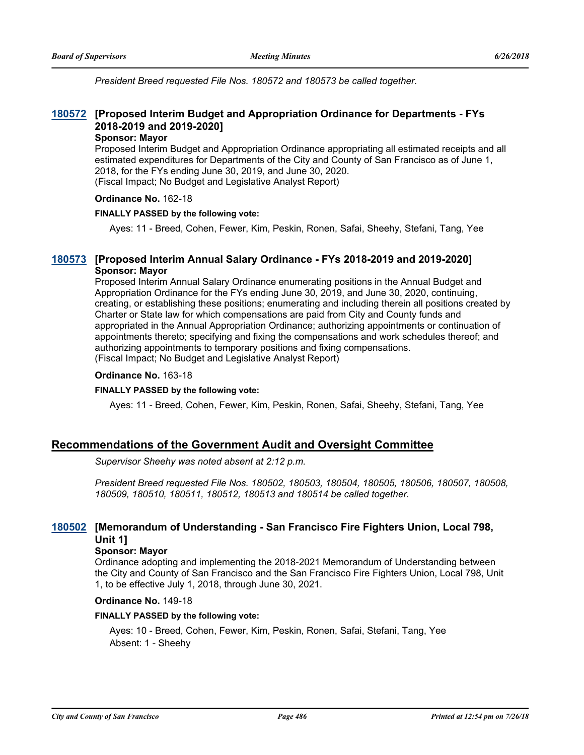*President Breed requested File Nos. 180572 and 180573 be called together.*

## **[Proposed Interim Budget and Appropriation Ordinance for Departments - FYs [180572](http://sfgov.legistar.com/gateway.aspx?m=l&id=33441) 2018-2019 and 2019-2020]**

#### **Sponsor: Mayor**

Proposed Interim Budget and Appropriation Ordinance appropriating all estimated receipts and all estimated expenditures for Departments of the City and County of San Francisco as of June 1, 2018, for the FYs ending June 30, 2019, and June 30, 2020. (Fiscal Impact; No Budget and Legislative Analyst Report)

#### **Ordinance No.** 162-18

#### **FINALLY PASSED by the following vote:**

Ayes: 11 - Breed, Cohen, Fewer, Kim, Peskin, Ronen, Safai, Sheehy, Stefani, Tang, Yee

### **[180573](http://sfgov.legistar.com/gateway.aspx?m=l&id=33442) [Proposed Interim Annual Salary Ordinance - FYs 2018-2019 and 2019-2020] Sponsor: Mayor**

Proposed Interim Annual Salary Ordinance enumerating positions in the Annual Budget and Appropriation Ordinance for the FYs ending June 30, 2019, and June 30, 2020, continuing, creating, or establishing these positions; enumerating and including therein all positions created by Charter or State law for which compensations are paid from City and County funds and appropriated in the Annual Appropriation Ordinance; authorizing appointments or continuation of appointments thereto; specifying and fixing the compensations and work schedules thereof; and authorizing appointments to temporary positions and fixing compensations. (Fiscal Impact; No Budget and Legislative Analyst Report)

#### **Ordinance No.** 163-18

#### **FINALLY PASSED by the following vote:**

Ayes: 11 - Breed, Cohen, Fewer, Kim, Peskin, Ronen, Safai, Sheehy, Stefani, Tang, Yee

## **Recommendations of the Government Audit and Oversight Committee**

*Supervisor Sheehy was noted absent at 2:12 p.m.*

*President Breed requested File Nos. 180502, 180503, 180504, 180505, 180506, 180507, 180508, 180509, 180510, 180511, 180512, 180513 and 180514 be called together.*

## **[Memorandum of Understanding - San Francisco Fire Fighters Union, Local 798, [180502](http://sfgov.legistar.com/gateway.aspx?m=l&id=33371) Unit 1]**

#### **Sponsor: Mayor**

Ordinance adopting and implementing the 2018-2021 Memorandum of Understanding between the City and County of San Francisco and the San Francisco Fire Fighters Union, Local 798, Unit 1, to be effective July 1, 2018, through June 30, 2021.

#### **Ordinance No.** 149-18

#### **FINALLY PASSED by the following vote:**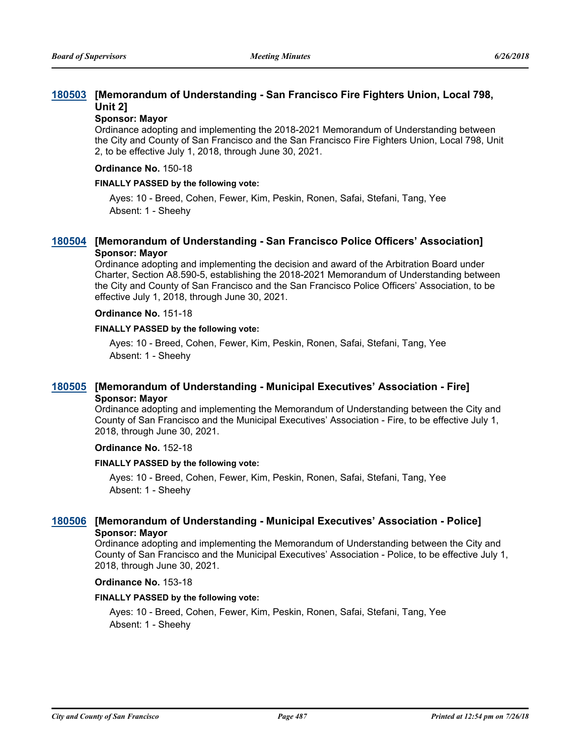## **[Memorandum of Understanding - San Francisco Fire Fighters Union, Local 798, [180503](http://sfgov.legistar.com/gateway.aspx?m=l&id=33372) Unit 2]**

#### **Sponsor: Mayor**

Ordinance adopting and implementing the 2018-2021 Memorandum of Understanding between the City and County of San Francisco and the San Francisco Fire Fighters Union, Local 798, Unit 2, to be effective July 1, 2018, through June 30, 2021.

#### **Ordinance No.** 150-18

#### **FINALLY PASSED by the following vote:**

Ayes: 10 - Breed, Cohen, Fewer, Kim, Peskin, Ronen, Safai, Stefani, Tang, Yee Absent: 1 - Sheehy

### **[180504](http://sfgov.legistar.com/gateway.aspx?m=l&id=33373) [Memorandum of Understanding - San Francisco Police Officers' Association] Sponsor: Mayor**

Ordinance adopting and implementing the decision and award of the Arbitration Board under Charter, Section A8.590-5, establishing the 2018-2021 Memorandum of Understanding between the City and County of San Francisco and the San Francisco Police Officers' Association, to be effective July 1, 2018, through June 30, 2021.

#### **Ordinance No.** 151-18

#### **FINALLY PASSED by the following vote:**

Ayes: 10 - Breed, Cohen, Fewer, Kim, Peskin, Ronen, Safai, Stefani, Tang, Yee Absent: 1 - Sheehy

## **[180505](http://sfgov.legistar.com/gateway.aspx?m=l&id=33374) [Memorandum of Understanding - Municipal Executives' Association - Fire] Sponsor: Mayor**

Ordinance adopting and implementing the Memorandum of Understanding between the City and County of San Francisco and the Municipal Executives' Association - Fire, to be effective July 1, 2018, through June 30, 2021.

#### **Ordinance No.** 152-18

#### **FINALLY PASSED by the following vote:**

Ayes: 10 - Breed, Cohen, Fewer, Kim, Peskin, Ronen, Safai, Stefani, Tang, Yee Absent: 1 - Sheehy

### **[180506](http://sfgov.legistar.com/gateway.aspx?m=l&id=33375) [Memorandum of Understanding - Municipal Executives' Association - Police] Sponsor: Mayor**

Ordinance adopting and implementing the Memorandum of Understanding between the City and County of San Francisco and the Municipal Executives' Association - Police, to be effective July 1, 2018, through June 30, 2021.

#### **Ordinance No.** 153-18

#### **FINALLY PASSED by the following vote:**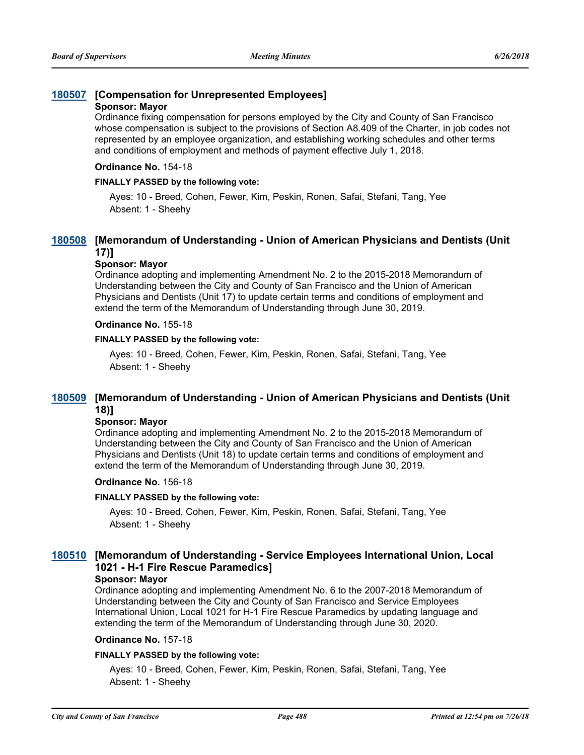## **[180507](http://sfgov.legistar.com/gateway.aspx?m=l&id=33376) [Compensation for Unrepresented Employees]**

#### **Sponsor: Mayor**

Ordinance fixing compensation for persons employed by the City and County of San Francisco whose compensation is subject to the provisions of Section A8.409 of the Charter, in job codes not represented by an employee organization, and establishing working schedules and other terms and conditions of employment and methods of payment effective July 1, 2018.

#### **Ordinance No.** 154-18

#### **FINALLY PASSED by the following vote:**

Ayes: 10 - Breed, Cohen, Fewer, Kim, Peskin, Ronen, Safai, Stefani, Tang, Yee Absent: 1 - Sheehy

## **[Memorandum of Understanding - Union of American Physicians and Dentists (Unit [180508](http://sfgov.legistar.com/gateway.aspx?m=l&id=33377) 17)]**

#### **Sponsor: Mayor**

Ordinance adopting and implementing Amendment No. 2 to the 2015-2018 Memorandum of Understanding between the City and County of San Francisco and the Union of American Physicians and Dentists (Unit 17) to update certain terms and conditions of employment and extend the term of the Memorandum of Understanding through June 30, 2019.

#### **Ordinance No.** 155-18

#### **FINALLY PASSED by the following vote:**

Ayes: 10 - Breed, Cohen, Fewer, Kim, Peskin, Ronen, Safai, Stefani, Tang, Yee Absent: 1 - Sheehy

## **[Memorandum of Understanding - Union of American Physicians and Dentists (Unit [180509](http://sfgov.legistar.com/gateway.aspx?m=l&id=33378) 18)]**

## **Sponsor: Mayor**

Ordinance adopting and implementing Amendment No. 2 to the 2015-2018 Memorandum of Understanding between the City and County of San Francisco and the Union of American Physicians and Dentists (Unit 18) to update certain terms and conditions of employment and extend the term of the Memorandum of Understanding through June 30, 2019.

#### **Ordinance No.** 156-18

#### **FINALLY PASSED by the following vote:**

Ayes: 10 - Breed, Cohen, Fewer, Kim, Peskin, Ronen, Safai, Stefani, Tang, Yee Absent: 1 - Sheehy

## **[Memorandum of Understanding - Service Employees International Union, Local [180510](http://sfgov.legistar.com/gateway.aspx?m=l&id=33379) 1021 - H-1 Fire Rescue Paramedics]**

#### **Sponsor: Mayor**

Ordinance adopting and implementing Amendment No. 6 to the 2007-2018 Memorandum of Understanding between the City and County of San Francisco and Service Employees International Union, Local 1021 for H-1 Fire Rescue Paramedics by updating language and extending the term of the Memorandum of Understanding through June 30, 2020.

#### **Ordinance No.** 157-18

#### **FINALLY PASSED by the following vote:**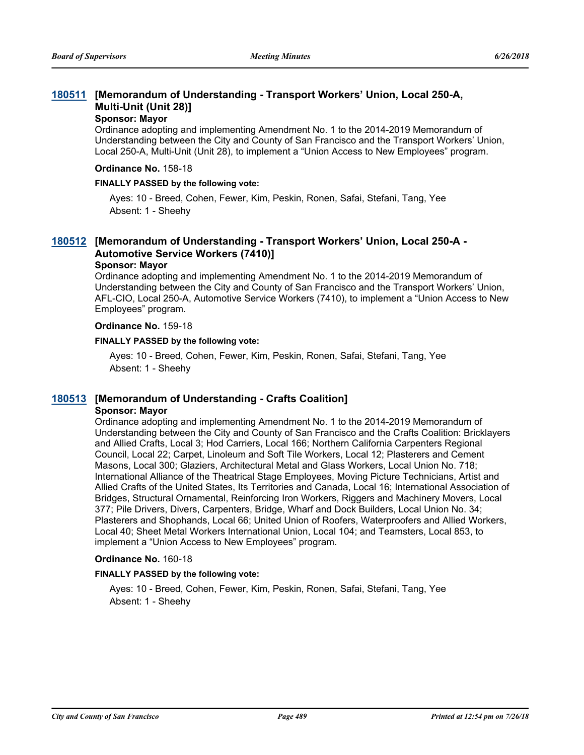## **[Memorandum of Understanding - Transport Workers' Union, Local 250-A, [180511](http://sfgov.legistar.com/gateway.aspx?m=l&id=33380) Multi-Unit (Unit 28)]**

#### **Sponsor: Mayor**

Ordinance adopting and implementing Amendment No. 1 to the 2014-2019 Memorandum of Understanding between the City and County of San Francisco and the Transport Workers' Union, Local 250-A, Multi-Unit (Unit 28), to implement a "Union Access to New Employees" program.

#### **Ordinance No.** 158-18

#### **FINALLY PASSED by the following vote:**

Ayes: 10 - Breed, Cohen, Fewer, Kim, Peskin, Ronen, Safai, Stefani, Tang, Yee Absent: 1 - Sheehy

## **[Memorandum of Understanding - Transport Workers' Union, Local 250-A - [180512](http://sfgov.legistar.com/gateway.aspx?m=l&id=33381) Automotive Service Workers (7410)]**

#### **Sponsor: Mayor**

Ordinance adopting and implementing Amendment No. 1 to the 2014-2019 Memorandum of Understanding between the City and County of San Francisco and the Transport Workers' Union, AFL-CIO, Local 250-A, Automotive Service Workers (7410), to implement a "Union Access to New Employees" program.

#### **Ordinance No.** 159-18

#### **FINALLY PASSED by the following vote:**

Ayes: 10 - Breed, Cohen, Fewer, Kim, Peskin, Ronen, Safai, Stefani, Tang, Yee Absent: 1 - Sheehy

#### **[180513](http://sfgov.legistar.com/gateway.aspx?m=l&id=33382) [Memorandum of Understanding - Crafts Coalition] Sponsor: Mayor**

Ordinance adopting and implementing Amendment No. 1 to the 2014-2019 Memorandum of Understanding between the City and County of San Francisco and the Crafts Coalition: Bricklayers and Allied Crafts, Local 3; Hod Carriers, Local 166; Northern California Carpenters Regional Council, Local 22; Carpet, Linoleum and Soft Tile Workers, Local 12; Plasterers and Cement Masons, Local 300; Glaziers, Architectural Metal and Glass Workers, Local Union No. 718; International Alliance of the Theatrical Stage Employees, Moving Picture Technicians, Artist and Allied Crafts of the United States, Its Territories and Canada, Local 16; International Association of Bridges, Structural Ornamental, Reinforcing Iron Workers, Riggers and Machinery Movers, Local 377; Pile Drivers, Divers, Carpenters, Bridge, Wharf and Dock Builders, Local Union No. 34; Plasterers and Shophands, Local 66; United Union of Roofers, Waterproofers and Allied Workers, Local 40; Sheet Metal Workers International Union, Local 104; and Teamsters, Local 853, to implement a "Union Access to New Employees" program.

#### **Ordinance No.** 160-18

#### **FINALLY PASSED by the following vote:**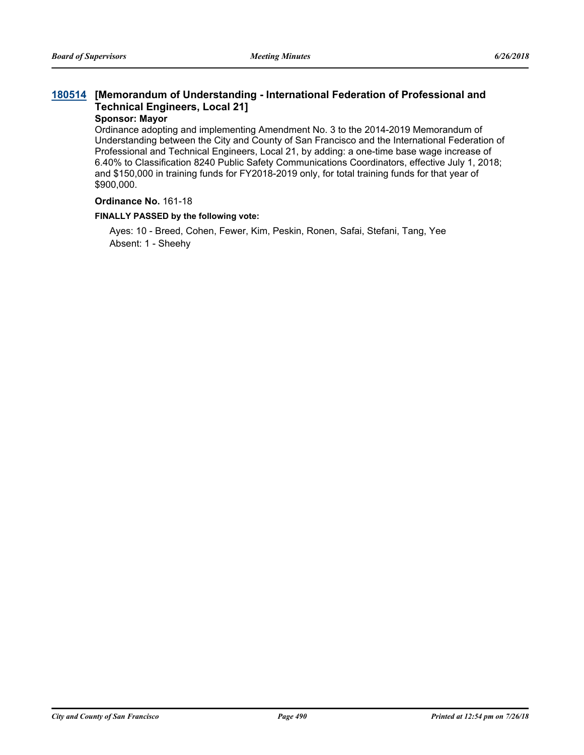## **[Memorandum of Understanding - International Federation of Professional and [180514](http://sfgov.legistar.com/gateway.aspx?m=l&id=33383) Technical Engineers, Local 21]**

#### **Sponsor: Mayor**

Ordinance adopting and implementing Amendment No. 3 to the 2014-2019 Memorandum of Understanding between the City and County of San Francisco and the International Federation of Professional and Technical Engineers, Local 21, by adding: a one-time base wage increase of 6.40% to Classification 8240 Public Safety Communications Coordinators, effective July 1, 2018; and \$150,000 in training funds for FY2018-2019 only, for total training funds for that year of \$900,000.

#### **Ordinance No.** 161-18

#### **FINALLY PASSED by the following vote:**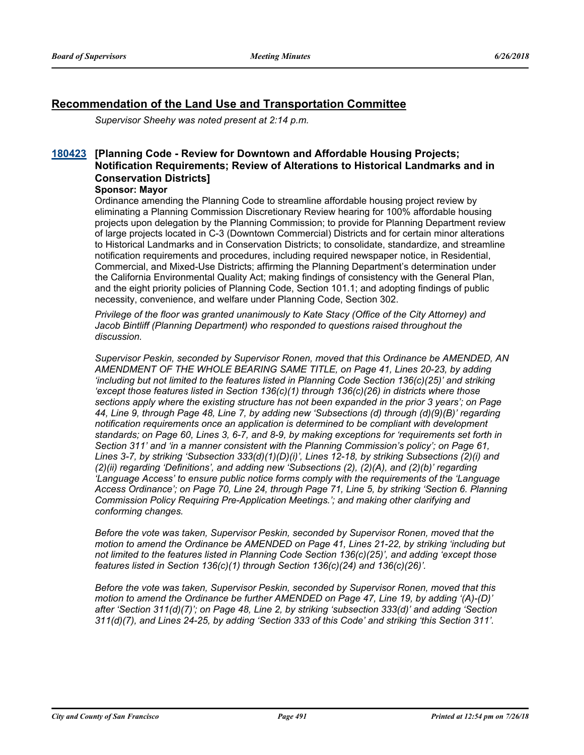## **Recommendation of the Land Use and Transportation Committee**

*Supervisor Sheehy was noted present at 2:14 p.m.*

## **[Planning Code - Review for Downtown and Affordable Housing Projects; [180423](http://sfgov.legistar.com/gateway.aspx?m=l&id=33292) Notification Requirements; Review of Alterations to Historical Landmarks and in Conservation Districts]**

#### **Sponsor: Mayor**

Ordinance amending the Planning Code to streamline affordable housing project review by eliminating a Planning Commission Discretionary Review hearing for 100% affordable housing projects upon delegation by the Planning Commission; to provide for Planning Department review of large projects located in C-3 (Downtown Commercial) Districts and for certain minor alterations to Historical Landmarks and in Conservation Districts; to consolidate, standardize, and streamline notification requirements and procedures, including required newspaper notice, in Residential, Commercial, and Mixed-Use Districts; affirming the Planning Department's determination under the California Environmental Quality Act; making findings of consistency with the General Plan, and the eight priority policies of Planning Code, Section 101.1; and adopting findings of public necessity, convenience, and welfare under Planning Code, Section 302.

*Privilege of the floor was granted unanimously to Kate Stacy (Office of the City Attorney) and Jacob Bintliff (Planning Department) who responded to questions raised throughout the discussion.*

*Supervisor Peskin, seconded by Supervisor Ronen, moved that this Ordinance be AMENDED, AN AMENDMENT OF THE WHOLE BEARING SAME TITLE, on Page 41, Lines 20-23, by adding 'including but not limited to the features listed in Planning Code Section 136(c)(25)' and striking 'except those features listed in Section 136(c)(1) through 136(c)(26) in districts where those sections apply where the existing structure has not been expanded in the prior 3 years'; on Page 44, Line 9, through Page 48, Line 7, by adding new 'Subsections (d) through (d)(9)(B)' regarding notification requirements once an application is determined to be compliant with development standards; on Page 60, Lines 3, 6-7, and 8-9, by making exceptions for 'requirements set forth in Section 311' and 'in a manner consistent with the Planning Commission's policy'; on Page 61, Lines 3-7, by striking 'Subsection 333(d)(1)(D)(i)', Lines 12-18, by striking Subsections (2)(i) and (2)(ii) regarding 'Definitions', and adding new 'Subsections (2), (2)(A), and (2)(b)' regarding 'Language Access' to ensure public notice forms comply with the requirements of the 'Language Access Ordinance'; on Page 70, Line 24, through Page 71, Line 5, by striking 'Section 6. Planning Commission Policy Requiring Pre-Application Meetings.'; and making other clarifying and conforming changes.* 

*Before the vote was taken, Supervisor Peskin, seconded by Supervisor Ronen, moved that the motion to amend the Ordinance be AMENDED on Page 41, Lines 21-22, by striking 'including but not limited to the features listed in Planning Code Section 136(c)(25)', and adding 'except those features listed in Section 136(c)(1) through Section 136(c)(24) and 136(c)(26)'.*

*Before the vote was taken, Supervisor Peskin, seconded by Supervisor Ronen, moved that this motion to amend the Ordinance be further AMENDED on Page 47, Line 19, by adding '(A)-(D)' after 'Section 311(d)(7)'; on Page 48, Line 2, by striking 'subsection 333(d)' and adding 'Section 311(d)(7), and Lines 24-25, by adding 'Section 333 of this Code' and striking 'this Section 311'.*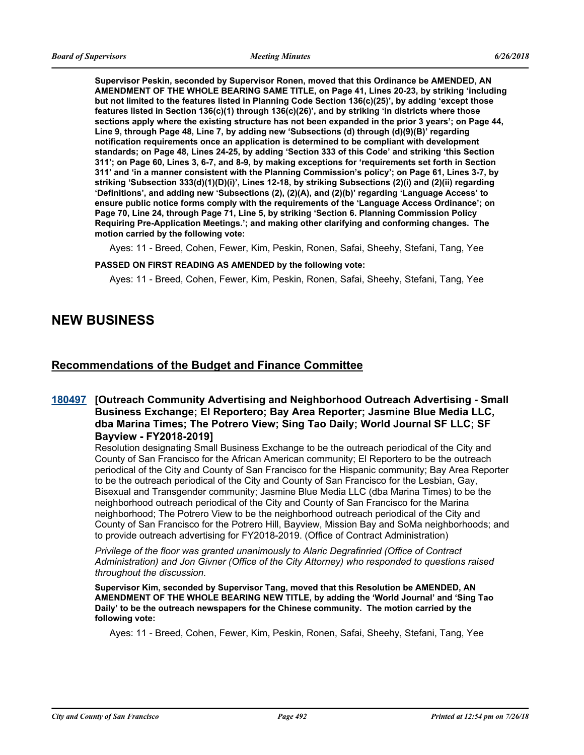**Supervisor Peskin, seconded by Supervisor Ronen, moved that this Ordinance be AMENDED, AN AMENDMENT OF THE WHOLE BEARING SAME TITLE, on Page 41, Lines 20-23, by striking 'including but not limited to the features listed in Planning Code Section 136(c)(25)', by adding 'except those features listed in Section 136(c)(1) through 136(c)(26)', and by striking 'in districts where those sections apply where the existing structure has not been expanded in the prior 3 years'; on Page 44, Line 9, through Page 48, Line 7, by adding new 'Subsections (d) through (d)(9)(B)' regarding notification requirements once an application is determined to be compliant with development standards; on Page 48, Lines 24-25, by adding 'Section 333 of this Code' and striking 'this Section 311'; on Page 60, Lines 3, 6-7, and 8-9, by making exceptions for 'requirements set forth in Section 311' and 'in a manner consistent with the Planning Commission's policy'; on Page 61, Lines 3-7, by striking 'Subsection 333(d)(1)(D)(i)', Lines 12-18, by striking Subsections (2)(i) and (2)(ii) regarding 'Definitions', and adding new 'Subsections (2), (2)(A), and (2)(b)' regarding 'Language Access' to ensure public notice forms comply with the requirements of the 'Language Access Ordinance'; on Page 70, Line 24, through Page 71, Line 5, by striking 'Section 6. Planning Commission Policy Requiring Pre-Application Meetings.'; and making other clarifying and conforming changes. The motion carried by the following vote:**

Ayes: 11 - Breed, Cohen, Fewer, Kim, Peskin, Ronen, Safai, Sheehy, Stefani, Tang, Yee

#### **PASSED ON FIRST READING AS AMENDED by the following vote:**

Ayes: 11 - Breed, Cohen, Fewer, Kim, Peskin, Ronen, Safai, Sheehy, Stefani, Tang, Yee

## **NEW BUSINESS**

## **Recommendations of the Budget and Finance Committee**

## **[180497](http://sfgov.legistar.com/gateway.aspx?m=l&id=33366)** [Outreach Community Advertising and Neighborhood Outreach Advertising - Small **Business Exchange; El Reportero; Bay Area Reporter; Jasmine Blue Media LLC, dba Marina Times; The Potrero View; Sing Tao Daily; World Journal SF LLC; SF Bayview - FY2018-2019]**

Resolution designating Small Business Exchange to be the outreach periodical of the City and County of San Francisco for the African American community; El Reportero to be the outreach periodical of the City and County of San Francisco for the Hispanic community; Bay Area Reporter to be the outreach periodical of the City and County of San Francisco for the Lesbian, Gay, Bisexual and Transgender community; Jasmine Blue Media LLC (dba Marina Times) to be the neighborhood outreach periodical of the City and County of San Francisco for the Marina neighborhood; The Potrero View to be the neighborhood outreach periodical of the City and County of San Francisco for the Potrero Hill, Bayview, Mission Bay and SoMa neighborhoods; and to provide outreach advertising for FY2018-2019. (Office of Contract Administration)

*Privilege of the floor was granted unanimously to Alaric Degrafinried (Office of Contract Administration) and Jon Givner (Office of the City Attorney) who responded to questions raised throughout the discussion.*

**Supervisor Kim, seconded by Supervisor Tang, moved that this Resolution be AMENDED, AN AMENDMENT OF THE WHOLE BEARING NEW TITLE, by adding the 'World Journal' and 'Sing Tao Daily' to be the outreach newspapers for the Chinese community. The motion carried by the following vote:**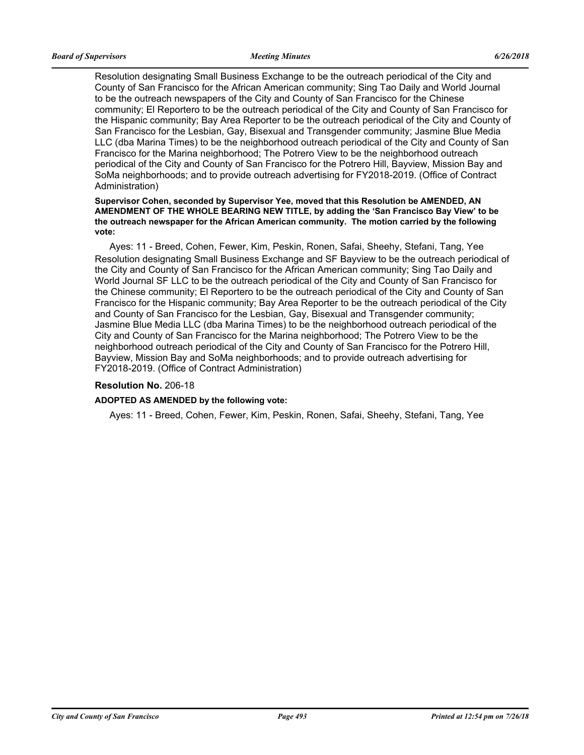Resolution designating Small Business Exchange to be the outreach periodical of the City and County of San Francisco for the African American community; Sing Tao Daily and World Journal to be the outreach newspapers of the City and County of San Francisco for the Chinese community; El Reportero to be the outreach periodical of the City and County of San Francisco for the Hispanic community; Bay Area Reporter to be the outreach periodical of the City and County of San Francisco for the Lesbian, Gay, Bisexual and Transgender community; Jasmine Blue Media LLC (dba Marina Times) to be the neighborhood outreach periodical of the City and County of San Francisco for the Marina neighborhood; The Potrero View to be the neighborhood outreach periodical of the City and County of San Francisco for the Potrero Hill, Bayview, Mission Bay and SoMa neighborhoods; and to provide outreach advertising for FY2018-2019. (Office of Contract Administration)

#### **Supervisor Cohen, seconded by Supervisor Yee, moved that this Resolution be AMENDED, AN AMENDMENT OF THE WHOLE BEARING NEW TITLE, by adding the 'San Francisco Bay View' to be the outreach newspaper for the African American community. The motion carried by the following vote:**

Ayes: 11 - Breed, Cohen, Fewer, Kim, Peskin, Ronen, Safai, Sheehy, Stefani, Tang, Yee Resolution designating Small Business Exchange and SF Bayview to be the outreach periodical of the City and County of San Francisco for the African American community; Sing Tao Daily and World Journal SF LLC to be the outreach periodical of the City and County of San Francisco for the Chinese community; El Reportero to be the outreach periodical of the City and County of San Francisco for the Hispanic community; Bay Area Reporter to be the outreach periodical of the City and County of San Francisco for the Lesbian, Gay, Bisexual and Transgender community; Jasmine Blue Media LLC (dba Marina Times) to be the neighborhood outreach periodical of the City and County of San Francisco for the Marina neighborhood; The Potrero View to be the neighborhood outreach periodical of the City and County of San Francisco for the Potrero Hill, Bayview, Mission Bay and SoMa neighborhoods; and to provide outreach advertising for FY2018-2019. (Office of Contract Administration)

#### **Resolution No.** 206-18

#### **ADOPTED AS AMENDED by the following vote:**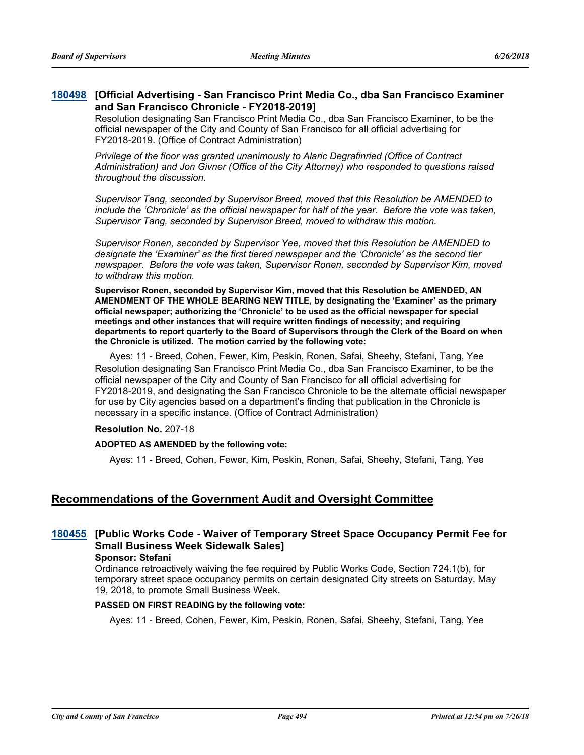### **[Official Advertising - San Francisco Print Media Co., dba San Francisco Examiner [180498](http://sfgov.legistar.com/gateway.aspx?m=l&id=33367) and San Francisco Chronicle - FY2018-2019]**

Resolution designating San Francisco Print Media Co., dba San Francisco Examiner, to be the official newspaper of the City and County of San Francisco for all official advertising for FY2018-2019. (Office of Contract Administration)

*Privilege of the floor was granted unanimously to Alaric Degrafinried (Office of Contract Administration) and Jon Givner (Office of the City Attorney) who responded to questions raised throughout the discussion.*

*Supervisor Tang, seconded by Supervisor Breed, moved that this Resolution be AMENDED to include the 'Chronicle' as the official newspaper for half of the year. Before the vote was taken, Supervisor Tang, seconded by Supervisor Breed, moved to withdraw this motion.*

*Supervisor Ronen, seconded by Supervisor Yee, moved that this Resolution be AMENDED to designate the 'Examiner' as the first tiered newspaper and the 'Chronicle' as the second tier newspaper. Before the vote was taken, Supervisor Ronen, seconded by Supervisor Kim, moved to withdraw this motion.*

**Supervisor Ronen, seconded by Supervisor Kim, moved that this Resolution be AMENDED, AN AMENDMENT OF THE WHOLE BEARING NEW TITLE, by designating the 'Examiner' as the primary official newspaper; authorizing the 'Chronicle' to be used as the official newspaper for special meetings and other instances that will require written findings of necessity; and requiring departments to report quarterly to the Board of Supervisors through the Clerk of the Board on when the Chronicle is utilized. The motion carried by the following vote:**

Ayes: 11 - Breed, Cohen, Fewer, Kim, Peskin, Ronen, Safai, Sheehy, Stefani, Tang, Yee Resolution designating San Francisco Print Media Co., dba San Francisco Examiner, to be the official newspaper of the City and County of San Francisco for all official advertising for FY2018-2019, and designating the San Francisco Chronicle to be the alternate official newspaper for use by City agencies based on a department's finding that publication in the Chronicle is necessary in a specific instance. (Office of Contract Administration)

#### **Resolution No.** 207-18

#### **ADOPTED AS AMENDED by the following vote:**

Ayes: 11 - Breed, Cohen, Fewer, Kim, Peskin, Ronen, Safai, Sheehy, Stefani, Tang, Yee

## **Recommendations of the Government Audit and Oversight Committee**

## **[Public Works Code - Waiver of Temporary Street Space Occupancy Permit Fee for [180455](http://sfgov.legistar.com/gateway.aspx?m=l&id=33324) Small Business Week Sidewalk Sales]**

**Sponsor: Stefani**

Ordinance retroactively waiving the fee required by Public Works Code, Section 724.1(b), for temporary street space occupancy permits on certain designated City streets on Saturday, May 19, 2018, to promote Small Business Week.

#### **PASSED ON FIRST READING by the following vote:**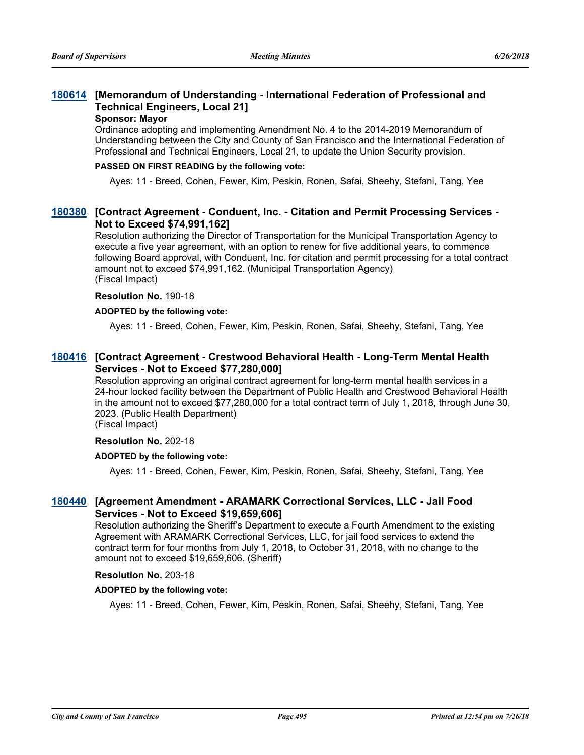## **[Memorandum of Understanding - International Federation of Professional and [180614](http://sfgov.legistar.com/gateway.aspx?m=l&id=33483) Technical Engineers, Local 21]**

#### **Sponsor: Mayor**

Ordinance adopting and implementing Amendment No. 4 to the 2014-2019 Memorandum of Understanding between the City and County of San Francisco and the International Federation of Professional and Technical Engineers, Local 21, to update the Union Security provision.

#### **PASSED ON FIRST READING by the following vote:**

Ayes: 11 - Breed, Cohen, Fewer, Kim, Peskin, Ronen, Safai, Sheehy, Stefani, Tang, Yee

## **[Contract Agreement - Conduent, Inc. - Citation and Permit Processing Services - [180380](http://sfgov.legistar.com/gateway.aspx?m=l&id=33249) Not to Exceed \$74,991,162]**

Resolution authorizing the Director of Transportation for the Municipal Transportation Agency to execute a five year agreement, with an option to renew for five additional years, to commence following Board approval, with Conduent, Inc. for citation and permit processing for a total contract amount not to exceed \$74,991,162. (Municipal Transportation Agency) (Fiscal Impact)

#### **Resolution No.** 190-18

#### **ADOPTED by the following vote:**

Ayes: 11 - Breed, Cohen, Fewer, Kim, Peskin, Ronen, Safai, Sheehy, Stefani, Tang, Yee

### **[Contract Agreement - Crestwood Behavioral Health - Long-Term Mental Health [180416](http://sfgov.legistar.com/gateway.aspx?m=l&id=33285) Services - Not to Exceed \$77,280,000]**

Resolution approving an original contract agreement for long-term mental health services in a 24-hour locked facility between the Department of Public Health and Crestwood Behavioral Health in the amount not to exceed \$77,280,000 for a total contract term of July 1, 2018, through June 30, 2023. (Public Health Department)

(Fiscal Impact)

## **Resolution No.** 202-18

#### **ADOPTED by the following vote:**

Ayes: 11 - Breed, Cohen, Fewer, Kim, Peskin, Ronen, Safai, Sheehy, Stefani, Tang, Yee

## **[Agreement Amendment - ARAMARK Correctional Services, LLC - Jail Food [180440](http://sfgov.legistar.com/gateway.aspx?m=l&id=33309) Services - Not to Exceed \$19,659,606]**

Resolution authorizing the Sheriff's Department to execute a Fourth Amendment to the existing Agreement with ARAMARK Correctional Services, LLC, for jail food services to extend the contract term for four months from July 1, 2018, to October 31, 2018, with no change to the amount not to exceed \$19,659,606. (Sheriff)

#### **Resolution No.** 203-18

#### **ADOPTED by the following vote:**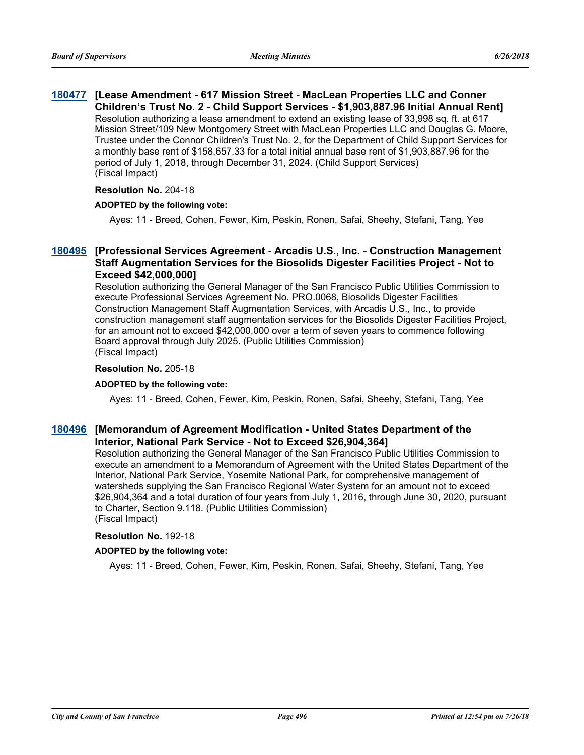## **[Lease Amendment - 617 Mission Street - MacLean Properties LLC and Conner [180477](http://sfgov.legistar.com/gateway.aspx?m=l&id=33346) Children's Trust No. 2 - Child Support Services - \$1,903,887.96 Initial Annual Rent]**

Resolution authorizing a lease amendment to extend an existing lease of 33,998 sq. ft. at 617 Mission Street/109 New Montgomery Street with MacLean Properties LLC and Douglas G. Moore, Trustee under the Connor Children's Trust No. 2, for the Department of Child Support Services for a monthly base rent of \$158,657.33 for a total initial annual base rent of \$1,903,887.96 for the period of July 1, 2018, through December 31, 2024. (Child Support Services) (Fiscal Impact)

#### **Resolution No.** 204-18

### **ADOPTED by the following vote:**

Ayes: 11 - Breed, Cohen, Fewer, Kim, Peskin, Ronen, Safai, Sheehy, Stefani, Tang, Yee

## **[Professional Services Agreement - Arcadis U.S., Inc. - Construction Management [180495](http://sfgov.legistar.com/gateway.aspx?m=l&id=33364) Staff Augmentation Services for the Biosolids Digester Facilities Project - Not to Exceed \$42,000,000]**

Resolution authorizing the General Manager of the San Francisco Public Utilities Commission to execute Professional Services Agreement No. PRO.0068, Biosolids Digester Facilities Construction Management Staff Augmentation Services, with Arcadis U.S., Inc., to provide construction management staff augmentation services for the Biosolids Digester Facilities Project, for an amount not to exceed \$42,000,000 over a term of seven years to commence following Board approval through July 2025. (Public Utilities Commission) (Fiscal Impact)

### **Resolution No.** 205-18

#### **ADOPTED by the following vote:**

Ayes: 11 - Breed, Cohen, Fewer, Kim, Peskin, Ronen, Safai, Sheehy, Stefani, Tang, Yee

## **[Memorandum of Agreement Modification - United States Department of the [180496](http://sfgov.legistar.com/gateway.aspx?m=l&id=33365) Interior, National Park Service - Not to Exceed \$26,904,364]**

Resolution authorizing the General Manager of the San Francisco Public Utilities Commission to execute an amendment to a Memorandum of Agreement with the United States Department of the Interior, National Park Service, Yosemite National Park, for comprehensive management of watersheds supplying the San Francisco Regional Water System for an amount not to exceed \$26,904,364 and a total duration of four years from July 1, 2016, through June 30, 2020, pursuant to Charter, Section 9.118. (Public Utilities Commission) (Fiscal Impact)

#### **Resolution No.** 192-18

#### **ADOPTED by the following vote:**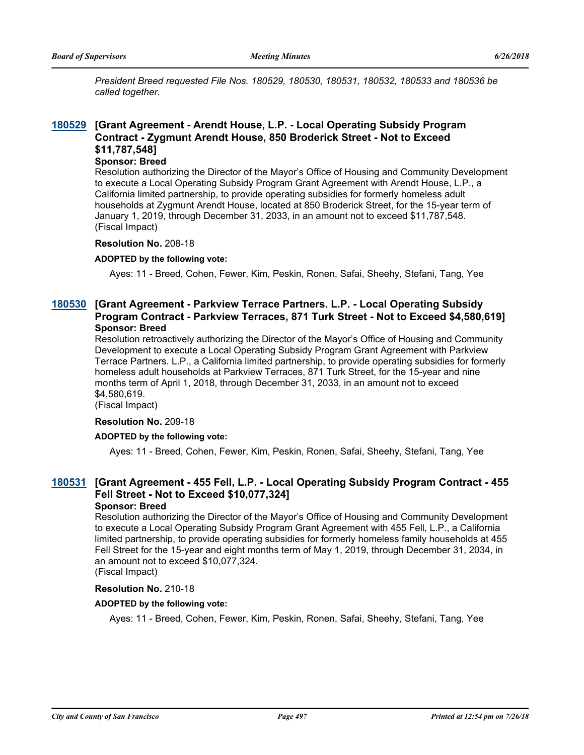*President Breed requested File Nos. 180529, 180530, 180531, 180532, 180533 and 180536 be called together.*

## **[Grant Agreement - Arendt House, L.P. - Local Operating Subsidy Program [180529](http://sfgov.legistar.com/gateway.aspx?m=l&id=33398) Contract - Zygmunt Arendt House, 850 Broderick Street - Not to Exceed \$11,787,548]**

#### **Sponsor: Breed**

Resolution authorizing the Director of the Mayor's Office of Housing and Community Development to execute a Local Operating Subsidy Program Grant Agreement with Arendt House, L.P., a California limited partnership, to provide operating subsidies for formerly homeless adult households at Zygmunt Arendt House, located at 850 Broderick Street, for the 15-year term of January 1, 2019, through December 31, 2033, in an amount not to exceed \$11,787,548. (Fiscal Impact)

#### **Resolution No.** 208-18

#### **ADOPTED by the following vote:**

Ayes: 11 - Breed, Cohen, Fewer, Kim, Peskin, Ronen, Safai, Sheehy, Stefani, Tang, Yee

## **[Grant Agreement - Parkview Terrace Partners. L.P. - Local Operating Subsidy [180530](http://sfgov.legistar.com/gateway.aspx?m=l&id=33399) Program Contract - Parkview Terraces, 871 Turk Street - Not to Exceed \$4,580,619] Sponsor: Breed**

Resolution retroactively authorizing the Director of the Mayor's Office of Housing and Community Development to execute a Local Operating Subsidy Program Grant Agreement with Parkview Terrace Partners. L.P., a California limited partnership, to provide operating subsidies for formerly homeless adult households at Parkview Terraces, 871 Turk Street, for the 15-year and nine months term of April 1, 2018, through December 31, 2033, in an amount not to exceed \$4,580,619.

(Fiscal Impact)

#### **Resolution No.** 209-18

#### **ADOPTED by the following vote:**

Ayes: 11 - Breed, Cohen, Fewer, Kim, Peskin, Ronen, Safai, Sheehy, Stefani, Tang, Yee

## **[Grant Agreement - 455 Fell, L.P. - Local Operating Subsidy Program Contract - 455 [180531](http://sfgov.legistar.com/gateway.aspx?m=l&id=33400) Fell Street - Not to Exceed \$10,077,324]**

#### **Sponsor: Breed**

Resolution authorizing the Director of the Mayor's Office of Housing and Community Development to execute a Local Operating Subsidy Program Grant Agreement with 455 Fell, L.P., a California limited partnership, to provide operating subsidies for formerly homeless family households at 455 Fell Street for the 15-year and eight months term of May 1, 2019, through December 31, 2034, in an amount not to exceed \$10,077,324.

## (Fiscal Impact)

### **Resolution No.** 210-18

#### **ADOPTED by the following vote:**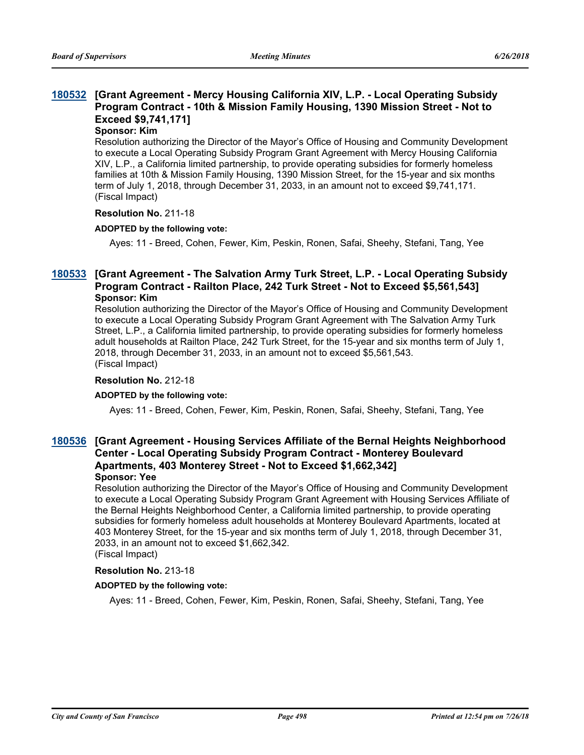## **[Grant Agreement - Mercy Housing California XIV, L.P. - Local Operating Subsidy [180532](http://sfgov.legistar.com/gateway.aspx?m=l&id=33401) Program Contract - 10th & Mission Family Housing, 1390 Mission Street - Not to Exceed \$9,741,171]**

### **Sponsor: Kim**

Resolution authorizing the Director of the Mayor's Office of Housing and Community Development to execute a Local Operating Subsidy Program Grant Agreement with Mercy Housing California XIV, L.P., a California limited partnership, to provide operating subsidies for formerly homeless families at 10th & Mission Family Housing, 1390 Mission Street, for the 15-year and six months term of July 1, 2018, through December 31, 2033, in an amount not to exceed \$9,741,171. (Fiscal Impact)

#### **Resolution No.** 211-18

#### **ADOPTED by the following vote:**

Ayes: 11 - Breed, Cohen, Fewer, Kim, Peskin, Ronen, Safai, Sheehy, Stefani, Tang, Yee

## **[Grant Agreement - The Salvation Army Turk Street, L.P. - Local Operating Subsidy [180533](http://sfgov.legistar.com/gateway.aspx?m=l&id=33402) Program Contract - Railton Place, 242 Turk Street - Not to Exceed \$5,561,543] Sponsor: Kim**

Resolution authorizing the Director of the Mayor's Office of Housing and Community Development to execute a Local Operating Subsidy Program Grant Agreement with The Salvation Army Turk Street, L.P., a California limited partnership, to provide operating subsidies for formerly homeless adult households at Railton Place, 242 Turk Street, for the 15-year and six months term of July 1, 2018, through December 31, 2033, in an amount not to exceed \$5,561,543. (Fiscal Impact)

#### **Resolution No.** 212-18

#### **ADOPTED by the following vote:**

Ayes: 11 - Breed, Cohen, Fewer, Kim, Peskin, Ronen, Safai, Sheehy, Stefani, Tang, Yee

## **[Grant Agreement - Housing Services Affiliate of the Bernal Heights Neighborhood [180536](http://sfgov.legistar.com/gateway.aspx?m=l&id=33405) Center - Local Operating Subsidy Program Contract - Monterey Boulevard Apartments, 403 Monterey Street - Not to Exceed \$1,662,342]**

#### **Sponsor: Yee**

Resolution authorizing the Director of the Mayor's Office of Housing and Community Development to execute a Local Operating Subsidy Program Grant Agreement with Housing Services Affiliate of the Bernal Heights Neighborhood Center, a California limited partnership, to provide operating subsidies for formerly homeless adult households at Monterey Boulevard Apartments, located at 403 Monterey Street, for the 15-year and six months term of July 1, 2018, through December 31, 2033, in an amount not to exceed \$1,662,342. (Fiscal Impact)

#### **Resolution No.** 213-18

#### **ADOPTED by the following vote:**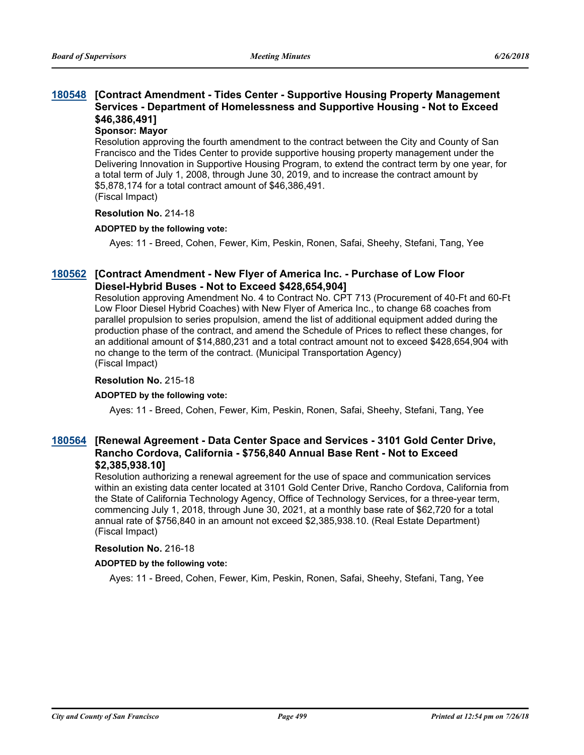## **[Contract Amendment - Tides Center - Supportive Housing Property Management [180548](http://sfgov.legistar.com/gateway.aspx?m=l&id=33417) Services - Department of Homelessness and Supportive Housing - Not to Exceed \$46,386,491]**

#### **Sponsor: Mayor**

Resolution approving the fourth amendment to the contract between the City and County of San Francisco and the Tides Center to provide supportive housing property management under the Delivering Innovation in Supportive Housing Program, to extend the contract term by one year, for a total term of July 1, 2008, through June 30, 2019, and to increase the contract amount by \$5,878,174 for a total contract amount of \$46,386,491. (Fiscal Impact)

#### **Resolution No.** 214-18

#### **ADOPTED by the following vote:**

Ayes: 11 - Breed, Cohen, Fewer, Kim, Peskin, Ronen, Safai, Sheehy, Stefani, Tang, Yee

## **[Contract Amendment - New Flyer of America Inc. - Purchase of Low Floor [180562](http://sfgov.legistar.com/gateway.aspx?m=l&id=33431) Diesel-Hybrid Buses - Not to Exceed \$428,654,904]**

Resolution approving Amendment No. 4 to Contract No. CPT 713 (Procurement of 40-Ft and 60-Ft Low Floor Diesel Hybrid Coaches) with New Flyer of America Inc., to change 68 coaches from parallel propulsion to series propulsion, amend the list of additional equipment added during the production phase of the contract, and amend the Schedule of Prices to reflect these changes, for an additional amount of \$14,880,231 and a total contract amount not to exceed \$428,654,904 with no change to the term of the contract. (Municipal Transportation Agency) (Fiscal Impact)

#### **Resolution No.** 215-18

#### **ADOPTED by the following vote:**

Ayes: 11 - Breed, Cohen, Fewer, Kim, Peskin, Ronen, Safai, Sheehy, Stefani, Tang, Yee

## **[Renewal Agreement - Data Center Space and Services - 3101 Gold Center Drive, [180564](http://sfgov.legistar.com/gateway.aspx?m=l&id=33433) Rancho Cordova, California - \$756,840 Annual Base Rent - Not to Exceed \$2,385,938.10]**

Resolution authorizing a renewal agreement for the use of space and communication services within an existing data center located at 3101 Gold Center Drive, Rancho Cordova, California from the State of California Technology Agency, Office of Technology Services, for a three-year term, commencing July 1, 2018, through June 30, 2021, at a monthly base rate of \$62,720 for a total annual rate of \$756,840 in an amount not exceed \$2,385,938.10. (Real Estate Department) (Fiscal Impact)

#### **Resolution No.** 216-18

#### **ADOPTED by the following vote:**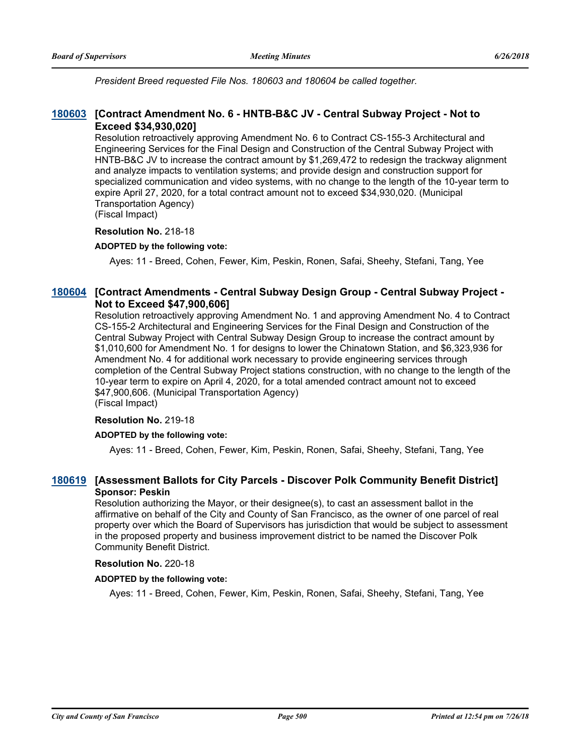*President Breed requested File Nos. 180603 and 180604 be called together.*

### **[Contract Amendment No. 6 - HNTB-B&C JV - Central Subway Project - Not to [180603](http://sfgov.legistar.com/gateway.aspx?m=l&id=33472) Exceed \$34,930,020]**

Resolution retroactively approving Amendment No. 6 to Contract CS-155-3 Architectural and Engineering Services for the Final Design and Construction of the Central Subway Project with HNTB-B&C JV to increase the contract amount by \$1,269,472 to redesign the trackway alignment and analyze impacts to ventilation systems; and provide design and construction support for specialized communication and video systems, with no change to the length of the 10-year term to expire April 27, 2020, for a total contract amount not to exceed \$34,930,020. (Municipal Transportation Agency)

(Fiscal Impact)

#### **Resolution No.** 218-18

#### **ADOPTED by the following vote:**

Ayes: 11 - Breed, Cohen, Fewer, Kim, Peskin, Ronen, Safai, Sheehy, Stefani, Tang, Yee

## [180604](http://sfgov.legistar.com/gateway.aspx?m=l&id=33473) [Contract Amendments - Central Subway Design Group - Central Subway Project -**Not to Exceed \$47,900,606]**

Resolution retroactively approving Amendment No. 1 and approving Amendment No. 4 to Contract CS-155-2 Architectural and Engineering Services for the Final Design and Construction of the Central Subway Project with Central Subway Design Group to increase the contract amount by \$1,010,600 for Amendment No. 1 for designs to lower the Chinatown Station, and \$6,323,936 for Amendment No. 4 for additional work necessary to provide engineering services through completion of the Central Subway Project stations construction, with no change to the length of the 10-year term to expire on April 4, 2020, for a total amended contract amount not to exceed \$47,900,606. (Municipal Transportation Agency)

(Fiscal Impact)

#### **Resolution No.** 219-18

#### **ADOPTED by the following vote:**

Ayes: 11 - Breed, Cohen, Fewer, Kim, Peskin, Ronen, Safai, Sheehy, Stefani, Tang, Yee

## **[180619](http://sfgov.legistar.com/gateway.aspx?m=l&id=33488) [Assessment Ballots for City Parcels - Discover Polk Community Benefit District] Sponsor: Peskin**

Resolution authorizing the Mayor, or their designee(s), to cast an assessment ballot in the affirmative on behalf of the City and County of San Francisco, as the owner of one parcel of real property over which the Board of Supervisors has jurisdiction that would be subject to assessment in the proposed property and business improvement district to be named the Discover Polk Community Benefit District.

#### **Resolution No.** 220-18

#### **ADOPTED by the following vote:**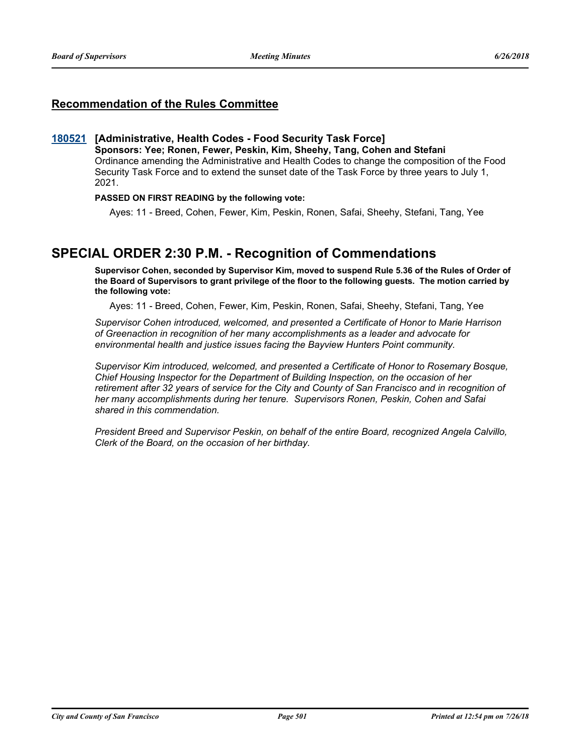## **Recommendation of the Rules Committee**

#### **[180521](http://sfgov.legistar.com/gateway.aspx?m=l&id=33390) [Administrative, Health Codes - Food Security Task Force]**

**Sponsors: Yee; Ronen, Fewer, Peskin, Kim, Sheehy, Tang, Cohen and Stefani** Ordinance amending the Administrative and Health Codes to change the composition of the Food Security Task Force and to extend the sunset date of the Task Force by three years to July 1, 2021.

#### **PASSED ON FIRST READING by the following vote:**

Ayes: 11 - Breed, Cohen, Fewer, Kim, Peskin, Ronen, Safai, Sheehy, Stefani, Tang, Yee

## **SPECIAL ORDER 2:30 P.M. - Recognition of Commendations**

**Supervisor Cohen, seconded by Supervisor Kim, moved to suspend Rule 5.36 of the Rules of Order of the Board of Supervisors to grant privilege of the floor to the following guests. The motion carried by the following vote:**

Ayes: 11 - Breed, Cohen, Fewer, Kim, Peskin, Ronen, Safai, Sheehy, Stefani, Tang, Yee

*Supervisor Cohen introduced, welcomed, and presented a Certificate of Honor to Marie Harrison of Greenaction in recognition of her many accomplishments as a leader and advocate for environmental health and justice issues facing the Bayview Hunters Point community.*

*Supervisor Kim introduced, welcomed, and presented a Certificate of Honor to Rosemary Bosque, Chief Housing Inspector for the Department of Building Inspection, on the occasion of her retirement after 32 years of service for the City and County of San Francisco and in recognition of her many accomplishments during her tenure. Supervisors Ronen, Peskin, Cohen and Safai shared in this commendation.*

*President Breed and Supervisor Peskin, on behalf of the entire Board, recognized Angela Calvillo, Clerk of the Board, on the occasion of her birthday.*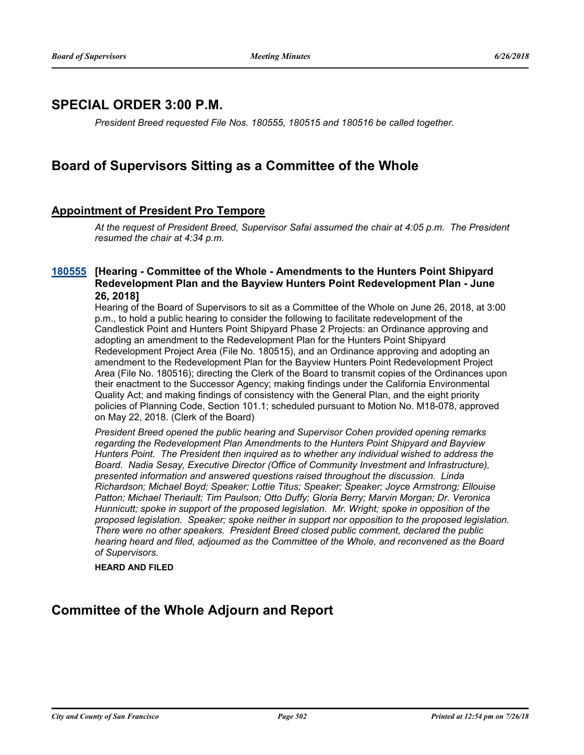## **SPECIAL ORDER 3:00 P.M.**

*President Breed requested File Nos. 180555, 180515 and 180516 be called together.*

## **Board of Supervisors Sitting as a Committee of the Whole**

## **Appointment of President Pro Tempore**

*At the request of President Breed, Supervisor Safai assumed the chair at 4:05 p.m. The President resumed the chair at 4:34 p.m.*

### **[Hearing - Committee of the Whole - Amendments to the Hunters Point Shipyard [180555](http://sfgov.legistar.com/gateway.aspx?m=l&id=33424) Redevelopment Plan and the Bayview Hunters Point Redevelopment Plan - June 26, 2018]**

Hearing of the Board of Supervisors to sit as a Committee of the Whole on June 26, 2018, at 3:00 p.m., to hold a public hearing to consider the following to facilitate redevelopment of the Candlestick Point and Hunters Point Shipyard Phase 2 Projects: an Ordinance approving and adopting an amendment to the Redevelopment Plan for the Hunters Point Shipyard Redevelopment Project Area (File No. 180515), and an Ordinance approving and adopting an amendment to the Redevelopment Plan for the Bayview Hunters Point Redevelopment Project Area (File No. 180516); directing the Clerk of the Board to transmit copies of the Ordinances upon their enactment to the Successor Agency; making findings under the California Environmental Quality Act; and making findings of consistency with the General Plan, and the eight priority policies of Planning Code, Section 101.1; scheduled pursuant to Motion No. M18-078, approved on May 22, 2018. (Clerk of the Board)

*President Breed opened the public hearing and Supervisor Cohen provided opening remarks regarding the Redevelopment Plan Amendments to the Hunters Point Shipyard and Bayview Hunters Point. The President then inquired as to whether any individual wished to address the Board. Nadia Sesay, Executive Director (Office of Community Investment and Infrastructure), presented information and answered questions raised throughout the discussion. Linda Richardson; Michael Boyd; Speaker; Lottie Titus; Speaker; Speaker; Joyce Armstrong; Ellouise Patton; Michael Theriault; Tim Paulson; Otto Duffy; Gloria Berry; Marvin Morgan; Dr. Veronica Hunnicutt; spoke in support of the proposed legislation. Mr. Wright; spoke in opposition of the proposed legislation. Speaker; spoke neither in support nor opposition to the proposed legislation. There were no other speakers. President Breed closed public comment, declared the public hearing heard and filed, adjourned as the Committee of the Whole, and reconvened as the Board of Supervisors.*

**HEARD AND FILED**

## **Committee of the Whole Adjourn and Report**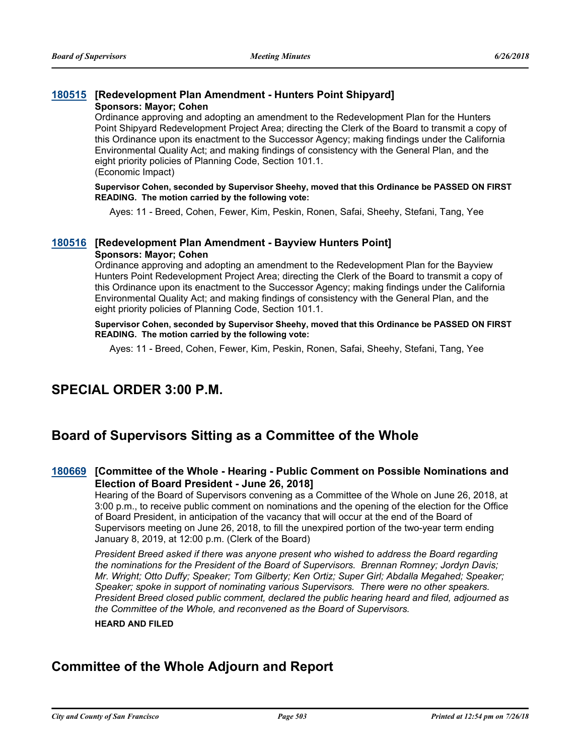#### **[180515](http://sfgov.legistar.com/gateway.aspx?m=l&id=33384) [Redevelopment Plan Amendment - Hunters Point Shipyard] Sponsors: Mayor; Cohen**

Ordinance approving and adopting an amendment to the Redevelopment Plan for the Hunters Point Shipyard Redevelopment Project Area; directing the Clerk of the Board to transmit a copy of this Ordinance upon its enactment to the Successor Agency; making findings under the California

Environmental Quality Act; and making findings of consistency with the General Plan, and the eight priority policies of Planning Code, Section 101.1. (Economic Impact)

**Supervisor Cohen, seconded by Supervisor Sheehy, moved that this Ordinance be PASSED ON FIRST READING. The motion carried by the following vote:**

Ayes: 11 - Breed, Cohen, Fewer, Kim, Peskin, Ronen, Safai, Sheehy, Stefani, Tang, Yee

### **[180516](http://sfgov.legistar.com/gateway.aspx?m=l&id=33385) [Redevelopment Plan Amendment - Bayview Hunters Point] Sponsors: Mayor; Cohen**

Ordinance approving and adopting an amendment to the Redevelopment Plan for the Bayview Hunters Point Redevelopment Project Area; directing the Clerk of the Board to transmit a copy of this Ordinance upon its enactment to the Successor Agency; making findings under the California Environmental Quality Act; and making findings of consistency with the General Plan, and the eight priority policies of Planning Code, Section 101.1.

**Supervisor Cohen, seconded by Supervisor Sheehy, moved that this Ordinance be PASSED ON FIRST READING. The motion carried by the following vote:**

Ayes: 11 - Breed, Cohen, Fewer, Kim, Peskin, Ronen, Safai, Sheehy, Stefani, Tang, Yee

## **SPECIAL ORDER 3:00 P.M.**

## **Board of Supervisors Sitting as a Committee of the Whole**

## **[Committee of the Whole - Hearing - Public Comment on Possible Nominations and [180669](http://sfgov.legistar.com/gateway.aspx?m=l&id=33538) Election of Board President - June 26, 2018]**

Hearing of the Board of Supervisors convening as a Committee of the Whole on June 26, 2018, at 3:00 p.m., to receive public comment on nominations and the opening of the election for the Office of Board President, in anticipation of the vacancy that will occur at the end of the Board of Supervisors meeting on June 26, 2018, to fill the unexpired portion of the two-year term ending January 8, 2019, at 12:00 p.m. (Clerk of the Board)

*President Breed asked if there was anyone present who wished to address the Board regarding the nominations for the President of the Board of Supervisors. Brennan Romney; Jordyn Davis; Mr. Wright; Otto Duffy; Speaker; Tom Gilberty; Ken Ortiz; Super Girl; Abdalla Megahed; Speaker; Speaker; spoke in support of nominating various Supervisors. There were no other speakers. President Breed closed public comment, declared the public hearing heard and filed, adjourned as the Committee of the Whole, and reconvened as the Board of Supervisors.*

#### **HEARD AND FILED**

## **Committee of the Whole Adjourn and Report**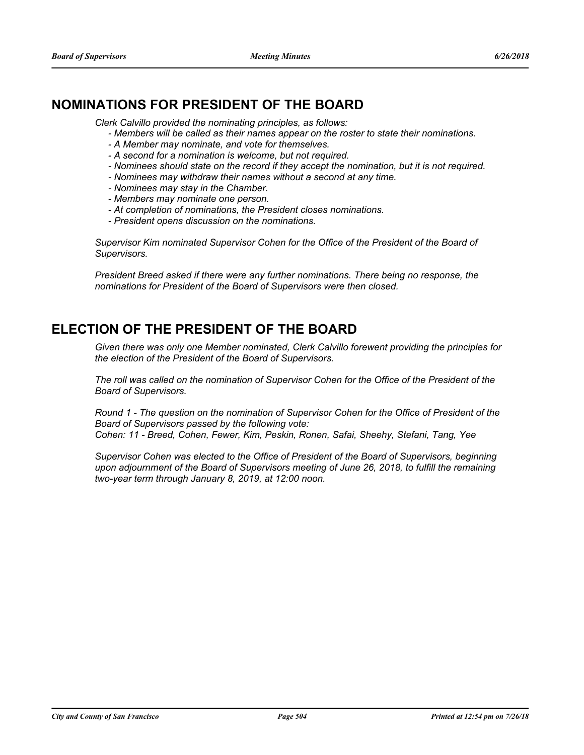## **NOMINATIONS FOR PRESIDENT OF THE BOARD**

*Clerk Calvillo provided the nominating principles, as follows:*

- *Members will be called as their names appear on the roster to state their nominations.*
- *A Member may nominate, and vote for themselves.*
- *A second for a nomination is welcome, but not required.*
- *Nominees should state on the record if they accept the nomination, but it is not required.*
- *Nominees may withdraw their names without a second at any time.*
- *Nominees may stay in the Chamber.*
- *Members may nominate one person.*
- *At completion of nominations, the President closes nominations.*
- *President opens discussion on the nominations.*

*Supervisor Kim nominated Supervisor Cohen for the Office of the President of the Board of Supervisors.*

*President Breed asked if there were any further nominations. There being no response, the nominations for President of the Board of Supervisors were then closed.*

## **ELECTION OF THE PRESIDENT OF THE BOARD**

*Given there was only one Member nominated, Clerk Calvillo forewent providing the principles for the election of the President of the Board of Supervisors.*

*The roll was called on the nomination of Supervisor Cohen for the Office of the President of the Board of Supervisors.* 

*Round 1 - The question on the nomination of Supervisor Cohen for the Office of President of the Board of Supervisors passed by the following vote:* 

*Cohen: 11 - Breed, Cohen, Fewer, Kim, Peskin, Ronen, Safai, Sheehy, Stefani, Tang, Yee*

*Supervisor Cohen was elected to the Office of President of the Board of Supervisors, beginning upon adjournment of the Board of Supervisors meeting of June 26, 2018, to fulfill the remaining two-year term through January 8, 2019, at 12:00 noon.*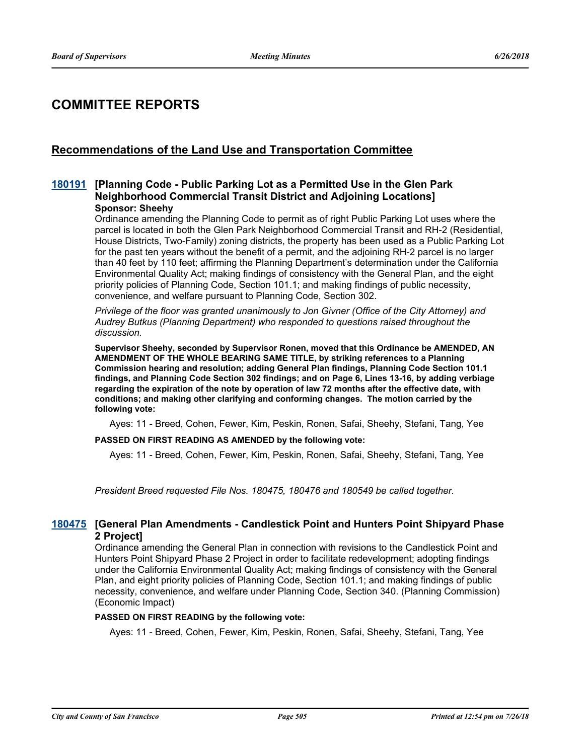## **COMMITTEE REPORTS**

## **Recommendations of the Land Use and Transportation Committee**

### **[Planning Code - Public Parking Lot as a Permitted Use in the Glen Park [180191](http://sfgov.legistar.com/gateway.aspx?m=l&id=33060) Neighborhood Commercial Transit District and Adjoining Locations] Sponsor: Sheehy**

Ordinance amending the Planning Code to permit as of right Public Parking Lot uses where the parcel is located in both the Glen Park Neighborhood Commercial Transit and RH-2 (Residential, House Districts, Two-Family) zoning districts, the property has been used as a Public Parking Lot for the past ten years without the benefit of a permit, and the adioining RH-2 parcel is no larger than 40 feet by 110 feet; affirming the Planning Department's determination under the California Environmental Quality Act; making findings of consistency with the General Plan, and the eight priority policies of Planning Code, Section 101.1; and making findings of public necessity, convenience, and welfare pursuant to Planning Code, Section 302.

*Privilege of the floor was granted unanimously to Jon Givner (Office of the City Attorney) and Audrey Butkus (Planning Department) who responded to questions raised throughout the discussion.*

**Supervisor Sheehy, seconded by Supervisor Ronen, moved that this Ordinance be AMENDED, AN AMENDMENT OF THE WHOLE BEARING SAME TITLE, by striking references to a Planning Commission hearing and resolution; adding General Plan findings, Planning Code Section 101.1 findings, and Planning Code Section 302 findings; and on Page 6, Lines 13-16, by adding verbiage regarding the expiration of the note by operation of law 72 months after the effective date, with conditions; and making other clarifying and conforming changes. The motion carried by the following vote:**

Ayes: 11 - Breed, Cohen, Fewer, Kim, Peskin, Ronen, Safai, Sheehy, Stefani, Tang, Yee

#### **PASSED ON FIRST READING AS AMENDED by the following vote:**

Ayes: 11 - Breed, Cohen, Fewer, Kim, Peskin, Ronen, Safai, Sheehy, Stefani, Tang, Yee

*President Breed requested File Nos. 180475, 180476 and 180549 be called together.*

### **[General Plan Amendments - Candlestick Point and Hunters Point Shipyard Phase [180475](http://sfgov.legistar.com/gateway.aspx?m=l&id=33344) 2 Project]**

Ordinance amending the General Plan in connection with revisions to the Candlestick Point and Hunters Point Shipyard Phase 2 Project in order to facilitate redevelopment; adopting findings under the California Environmental Quality Act; making findings of consistency with the General Plan, and eight priority policies of Planning Code, Section 101.1; and making findings of public necessity, convenience, and welfare under Planning Code, Section 340. (Planning Commission) (Economic Impact)

#### **PASSED ON FIRST READING by the following vote:**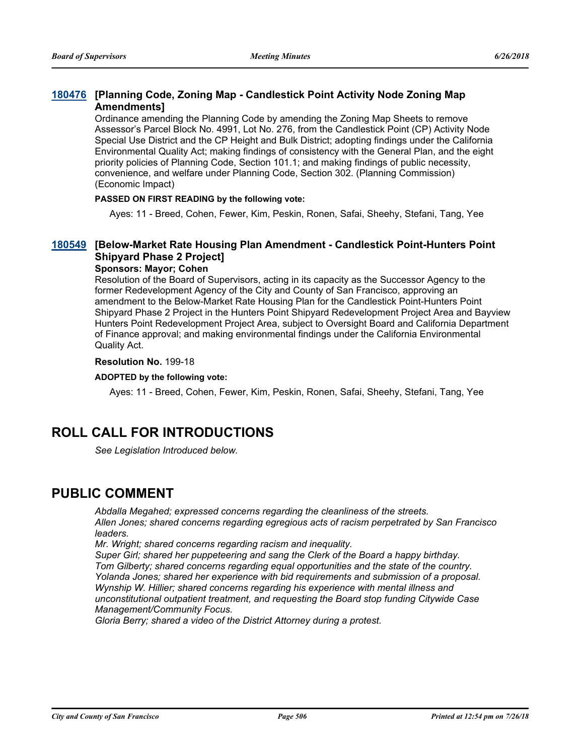## **[Planning Code, Zoning Map - Candlestick Point Activity Node Zoning Map [180476](http://sfgov.legistar.com/gateway.aspx?m=l&id=33345) Amendments]**

Ordinance amending the Planning Code by amending the Zoning Map Sheets to remove Assessor's Parcel Block No. 4991, Lot No. 276, from the Candlestick Point (CP) Activity Node Special Use District and the CP Height and Bulk District; adopting findings under the California Environmental Quality Act; making findings of consistency with the General Plan, and the eight priority policies of Planning Code, Section 101.1; and making findings of public necessity, convenience, and welfare under Planning Code, Section 302. (Planning Commission) (Economic Impact)

### **PASSED ON FIRST READING by the following vote:**

Ayes: 11 - Breed, Cohen, Fewer, Kim, Peskin, Ronen, Safai, Sheehy, Stefani, Tang, Yee

## **[Below-Market Rate Housing Plan Amendment - Candlestick Point-Hunters Point [180549](http://sfgov.legistar.com/gateway.aspx?m=l&id=33418) Shipyard Phase 2 Project]**

### **Sponsors: Mayor; Cohen**

Resolution of the Board of Supervisors, acting in its capacity as the Successor Agency to the former Redevelopment Agency of the City and County of San Francisco, approving an amendment to the Below-Market Rate Housing Plan for the Candlestick Point-Hunters Point Shipyard Phase 2 Project in the Hunters Point Shipyard Redevelopment Project Area and Bayview Hunters Point Redevelopment Project Area, subject to Oversight Board and California Department of Finance approval; and making environmental findings under the California Environmental Quality Act.

#### **Resolution No.** 199-18

#### **ADOPTED by the following vote:**

Ayes: 11 - Breed, Cohen, Fewer, Kim, Peskin, Ronen, Safai, Sheehy, Stefani, Tang, Yee

## **ROLL CALL FOR INTRODUCTIONS**

*See Legislation Introduced below.*

## **PUBLIC COMMENT**

*Abdalla Megahed; expressed concerns regarding the cleanliness of the streets. Allen Jones; shared concerns regarding egregious acts of racism perpetrated by San Francisco leaders.*

*Mr. Wright; shared concerns regarding racism and inequality.*

*Super Girl; shared her puppeteering and sang the Clerk of the Board a happy birthday. Tom Gilberty; shared concerns regarding equal opportunities and the state of the country. Yolanda Jones; shared her experience with bid requirements and submission of a proposal. Wynship W. Hillier; shared concerns regarding his experience with mental illness and unconstitutional outpatient treatment, and requesting the Board stop funding Citywide Case Management/Community Focus.*

*Gloria Berry; shared a video of the District Attorney during a protest.*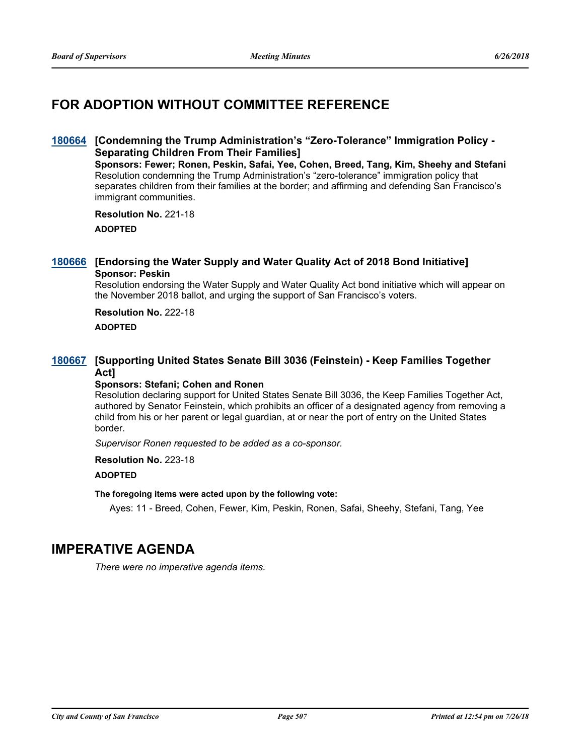## **FOR ADOPTION WITHOUT COMMITTEE REFERENCE**

### [180664](http://sfgov.legistar.com/gateway.aspx?m=l&id=33533) [Condemning the Trump Administration's "Zero-Tolerance" Immigration Policy -**Separating Children From Their Families]**

**Sponsors: Fewer; Ronen, Peskin, Safai, Yee, Cohen, Breed, Tang, Kim, Sheehy and Stefani** Resolution condemning the Trump Administration's "zero-tolerance" immigration policy that separates children from their families at the border; and affirming and defending San Francisco's immigrant communities.

#### **Resolution No.** 221-18

**ADOPTED**

### **[180666](http://sfgov.legistar.com/gateway.aspx?m=l&id=33535) [Endorsing the Water Supply and Water Quality Act of 2018 Bond Initiative] Sponsor: Peskin**

Resolution endorsing the Water Supply and Water Quality Act bond initiative which will appear on the November 2018 ballot, and urging the support of San Francisco's voters.

## **Resolution No.** 222-18 **ADOPTED**

## **[Supporting United States Senate Bill 3036 (Feinstein) - Keep Families Together [180667](http://sfgov.legistar.com/gateway.aspx?m=l&id=33536) Act]**

#### **Sponsors: Stefani; Cohen and Ronen**

Resolution declaring support for United States Senate Bill 3036, the Keep Families Together Act, authored by Senator Feinstein, which prohibits an officer of a designated agency from removing a child from his or her parent or legal guardian, at or near the port of entry on the United States border.

*Supervisor Ronen requested to be added as a co-sponsor.*

**Resolution No.** 223-18

#### **ADOPTED**

#### **The foregoing items were acted upon by the following vote:**

Ayes: 11 - Breed, Cohen, Fewer, Kim, Peskin, Ronen, Safai, Sheehy, Stefani, Tang, Yee

## **IMPERATIVE AGENDA**

*There were no imperative agenda items.*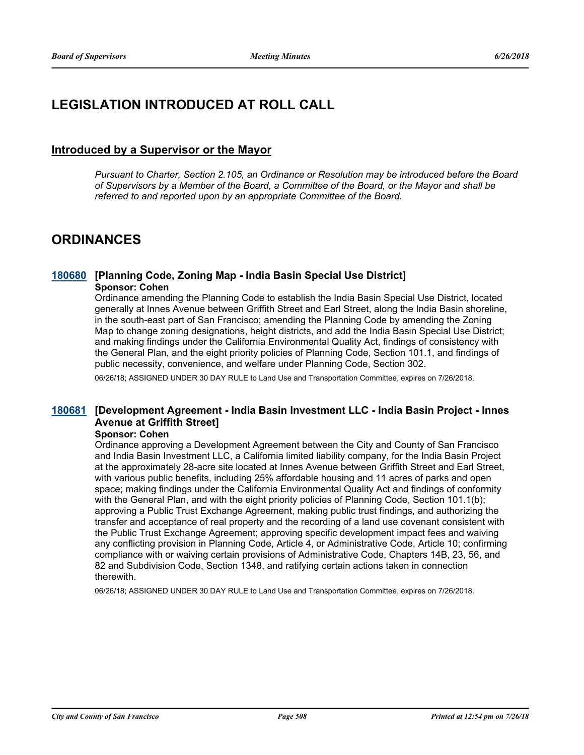## **LEGISLATION INTRODUCED AT ROLL CALL**

## **Introduced by a Supervisor or the Mayor**

*Pursuant to Charter, Section 2.105, an Ordinance or Resolution may be introduced before the Board of Supervisors by a Member of the Board, a Committee of the Board, or the Mayor and shall be referred to and reported upon by an appropriate Committee of the Board.*

## **ORDINANCES**

### **[180680](http://sfgov.legistar.com/gateway.aspx?m=l&id=33549) [Planning Code, Zoning Map - India Basin Special Use District] Sponsor: Cohen**

Ordinance amending the Planning Code to establish the India Basin Special Use District, located generally at Innes Avenue between Griffith Street and Earl Street, along the India Basin shoreline, in the south-east part of San Francisco; amending the Planning Code by amending the Zoning Map to change zoning designations, height districts, and add the India Basin Special Use District; and making findings under the California Environmental Quality Act, findings of consistency with the General Plan, and the eight priority policies of Planning Code, Section 101.1, and findings of public necessity, convenience, and welfare under Planning Code, Section 302.

06/26/18; ASSIGNED UNDER 30 DAY RULE to Land Use and Transportation Committee, expires on 7/26/2018.

## **[Development Agreement - India Basin Investment LLC - India Basin Project - Innes [180681](http://sfgov.legistar.com/gateway.aspx?m=l&id=33550) Avenue at Griffith Street]**

#### **Sponsor: Cohen**

Ordinance approving a Development Agreement between the City and County of San Francisco and India Basin Investment LLC, a California limited liability company, for the India Basin Project at the approximately 28-acre site located at Innes Avenue between Griffith Street and Earl Street, with various public benefits, including 25% affordable housing and 11 acres of parks and open space; making findings under the California Environmental Quality Act and findings of conformity with the General Plan, and with the eight priority policies of Planning Code, Section 101.1(b); approving a Public Trust Exchange Agreement, making public trust findings, and authorizing the transfer and acceptance of real property and the recording of a land use covenant consistent with the Public Trust Exchange Agreement; approving specific development impact fees and waiving any conflicting provision in Planning Code, Article 4, or Administrative Code, Article 10; confirming compliance with or waiving certain provisions of Administrative Code, Chapters 14B, 23, 56, and 82 and Subdivision Code, Section 1348, and ratifying certain actions taken in connection therewith.

06/26/18; ASSIGNED UNDER 30 DAY RULE to Land Use and Transportation Committee, expires on 7/26/2018.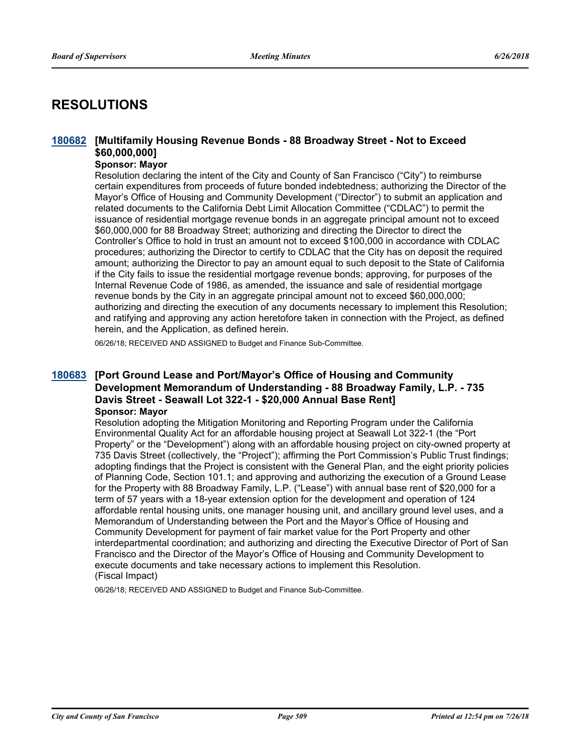## **RESOLUTIONS**

## **[Multifamily Housing Revenue Bonds - 88 Broadway Street - Not to Exceed [180682](http://sfgov.legistar.com/gateway.aspx?m=l&id=33551) \$60,000,000]**

## **Sponsor: Mayor**

Resolution declaring the intent of the City and County of San Francisco ("City") to reimburse certain expenditures from proceeds of future bonded indebtedness; authorizing the Director of the Mayor's Office of Housing and Community Development ("Director") to submit an application and related documents to the California Debt Limit Allocation Committee ("CDLAC") to permit the issuance of residential mortgage revenue bonds in an aggregate principal amount not to exceed \$60,000,000 for 88 Broadway Street; authorizing and directing the Director to direct the Controller's Office to hold in trust an amount not to exceed \$100,000 in accordance with CDLAC procedures; authorizing the Director to certify to CDLAC that the City has on deposit the required amount; authorizing the Director to pay an amount equal to such deposit to the State of California if the City fails to issue the residential mortgage revenue bonds; approving, for purposes of the Internal Revenue Code of 1986, as amended, the issuance and sale of residential mortgage revenue bonds by the City in an aggregate principal amount not to exceed \$60,000,000; authorizing and directing the execution of any documents necessary to implement this Resolution; and ratifying and approving any action heretofore taken in connection with the Project, as defined herein, and the Application, as defined herein.

06/26/18; RECEIVED AND ASSIGNED to Budget and Finance Sub-Committee.

### **[Port Ground Lease and Port/Mayor's Office of Housing and Community [180683](http://sfgov.legistar.com/gateway.aspx?m=l&id=33552) Development Memorandum of Understanding - 88 Broadway Family, L.P. - 735 Davis Street - Seawall Lot 322-1 - \$20,000 Annual Base Rent] Sponsor: Mayor**

Resolution adopting the Mitigation Monitoring and Reporting Program under the California Environmental Quality Act for an affordable housing project at Seawall Lot 322-1 (the "Port Property" or the "Development") along with an affordable housing project on city-owned property at 735 Davis Street (collectively, the "Project"); affirming the Port Commission's Public Trust findings; adopting findings that the Project is consistent with the General Plan, and the eight priority policies of Planning Code, Section 101.1; and approving and authorizing the execution of a Ground Lease for the Property with 88 Broadway Family, L.P. ("Lease") with annual base rent of \$20,000 for a term of 57 years with a 18-year extension option for the development and operation of 124 affordable rental housing units, one manager housing unit, and ancillary ground level uses, and a Memorandum of Understanding between the Port and the Mayor's Office of Housing and Community Development for payment of fair market value for the Port Property and other interdepartmental coordination; and authorizing and directing the Executive Director of Port of San Francisco and the Director of the Mayor's Office of Housing and Community Development to execute documents and take necessary actions to implement this Resolution. (Fiscal Impact)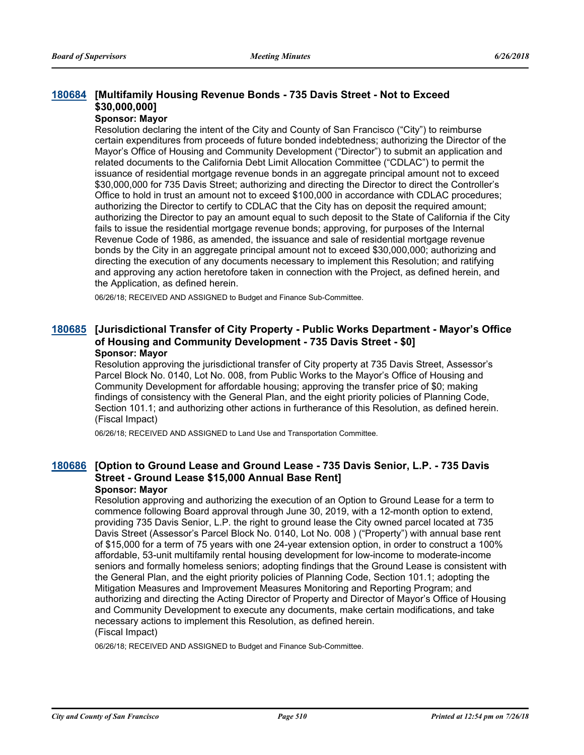## **[Multifamily Housing Revenue Bonds - 735 Davis Street - Not to Exceed [180684](http://sfgov.legistar.com/gateway.aspx?m=l&id=33553) \$30,000,000]**

## **Sponsor: Mayor**

Resolution declaring the intent of the City and County of San Francisco ("City") to reimburse certain expenditures from proceeds of future bonded indebtedness; authorizing the Director of the Mayor's Office of Housing and Community Development ("Director") to submit an application and related documents to the California Debt Limit Allocation Committee ("CDLAC") to permit the issuance of residential mortgage revenue bonds in an aggregate principal amount not to exceed \$30,000,000 for 735 Davis Street; authorizing and directing the Director to direct the Controller's Office to hold in trust an amount not to exceed \$100,000 in accordance with CDLAC procedures; authorizing the Director to certify to CDLAC that the City has on deposit the required amount; authorizing the Director to pay an amount equal to such deposit to the State of California if the City fails to issue the residential mortgage revenue bonds; approving, for purposes of the Internal Revenue Code of 1986, as amended, the issuance and sale of residential mortgage revenue bonds by the City in an aggregate principal amount not to exceed \$30,000,000; authorizing and directing the execution of any documents necessary to implement this Resolution; and ratifying and approving any action heretofore taken in connection with the Project, as defined herein, and the Application, as defined herein.

06/26/18; RECEIVED AND ASSIGNED to Budget and Finance Sub-Committee.

### **[Jurisdictional Transfer of City Property - Public Works Department - Mayor's Office [180685](http://sfgov.legistar.com/gateway.aspx?m=l&id=33554) of Housing and Community Development - 735 Davis Street - \$0] Sponsor: Mayor**

Resolution approving the jurisdictional transfer of City property at 735 Davis Street, Assessor's Parcel Block No. 0140, Lot No. 008, from Public Works to the Mayor's Office of Housing and Community Development for affordable housing; approving the transfer price of \$0; making findings of consistency with the General Plan, and the eight priority policies of Planning Code, Section 101.1; and authorizing other actions in furtherance of this Resolution, as defined herein. (Fiscal Impact)

06/26/18; RECEIVED AND ASSIGNED to Land Use and Transportation Committee.

## [180686](http://sfgov.legistar.com/gateway.aspx?m=l&id=33555) [Option to Ground Lease and Ground Lease - 735 Davis Senior, L.P. - 735 Davis **Street - Ground Lease \$15,000 Annual Base Rent]**

#### **Sponsor: Mayor**

Resolution approving and authorizing the execution of an Option to Ground Lease for a term to commence following Board approval through June 30, 2019, with a 12-month option to extend, providing 735 Davis Senior, L.P. the right to ground lease the City owned parcel located at 735 Davis Street (Assessor's Parcel Block No. 0140, Lot No. 008 ) ("Property") with annual base rent of \$15,000 for a term of 75 years with one 24-year extension option, in order to construct a 100% affordable, 53-unit multifamily rental housing development for low-income to moderate-income seniors and formally homeless seniors; adopting findings that the Ground Lease is consistent with the General Plan, and the eight priority policies of Planning Code, Section 101.1; adopting the Mitigation Measures and Improvement Measures Monitoring and Reporting Program; and authorizing and directing the Acting Director of Property and Director of Mayor's Office of Housing and Community Development to execute any documents, make certain modifications, and take necessary actions to implement this Resolution, as defined herein.

## (Fiscal Impact)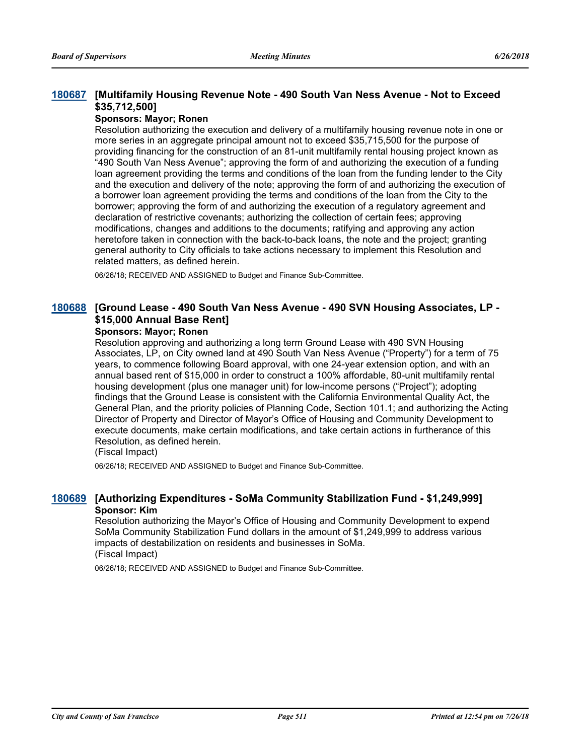## **[Multifamily Housing Revenue Note - 490 South Van Ness Avenue - Not to Exceed [180687](http://sfgov.legistar.com/gateway.aspx?m=l&id=33556) \$35,712,500]**

### **Sponsors: Mayor; Ronen**

Resolution authorizing the execution and delivery of a multifamily housing revenue note in one or more series in an aggregate principal amount not to exceed \$35,715,500 for the purpose of providing financing for the construction of an 81-unit multifamily rental housing project known as "490 South Van Ness Avenue"; approving the form of and authorizing the execution of a funding loan agreement providing the terms and conditions of the loan from the funding lender to the City and the execution and delivery of the note; approving the form of and authorizing the execution of a borrower loan agreement providing the terms and conditions of the loan from the City to the borrower; approving the form of and authorizing the execution of a regulatory agreement and declaration of restrictive covenants; authorizing the collection of certain fees; approving modifications, changes and additions to the documents; ratifying and approving any action heretofore taken in connection with the back-to-back loans, the note and the project; granting general authority to City officials to take actions necessary to implement this Resolution and related matters, as defined herein.

06/26/18; RECEIVED AND ASSIGNED to Budget and Finance Sub-Committee.

## **[Ground Lease - 490 South Van Ness Avenue - 490 SVN Housing Associates, LP - [180688](http://sfgov.legistar.com/gateway.aspx?m=l&id=33557) \$15,000 Annual Base Rent]**

### **Sponsors: Mayor; Ronen**

Resolution approving and authorizing a long term Ground Lease with 490 SVN Housing Associates, LP, on City owned land at 490 South Van Ness Avenue ("Property") for a term of 75 years, to commence following Board approval, with one 24-year extension option, and with an annual based rent of \$15,000 in order to construct a 100% affordable, 80-unit multifamily rental housing development (plus one manager unit) for low-income persons ("Project"); adopting findings that the Ground Lease is consistent with the California Environmental Quality Act, the General Plan, and the priority policies of Planning Code, Section 101.1; and authorizing the Acting Director of Property and Director of Mayor's Office of Housing and Community Development to execute documents, make certain modifications, and take certain actions in furtherance of this Resolution, as defined herein.

(Fiscal Impact)

06/26/18; RECEIVED AND ASSIGNED to Budget and Finance Sub-Committee.

### **[180689](http://sfgov.legistar.com/gateway.aspx?m=l&id=33558) [Authorizing Expenditures - SoMa Community Stabilization Fund - \$1,249,999] Sponsor: Kim**

Resolution authorizing the Mayor's Office of Housing and Community Development to expend SoMa Community Stabilization Fund dollars in the amount of \$1,249,999 to address various impacts of destabilization on residents and businesses in SoMa. (Fiscal Impact)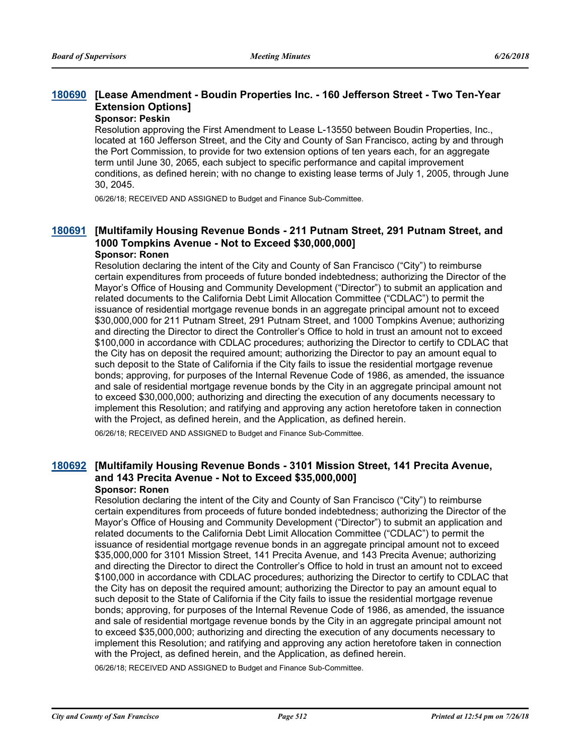## **[Lease Amendment - Boudin Properties Inc. - 160 Jefferson Street - Two Ten-Year [180690](http://sfgov.legistar.com/gateway.aspx?m=l&id=33559) Extension Options]**

## **Sponsor: Peskin**

Resolution approving the First Amendment to Lease L-13550 between Boudin Properties, Inc., located at 160 Jefferson Street, and the City and County of San Francisco, acting by and through the Port Commission, to provide for two extension options of ten years each, for an aggregate term until June 30, 2065, each subject to specific performance and capital improvement conditions, as defined herein; with no change to existing lease terms of July 1, 2005, through June 30, 2045.

06/26/18; RECEIVED AND ASSIGNED to Budget and Finance Sub-Committee.

## **[Multifamily Housing Revenue Bonds - 211 Putnam Street, 291 Putnam Street, and [180691](http://sfgov.legistar.com/gateway.aspx?m=l&id=33560) 1000 Tompkins Avenue - Not to Exceed \$30,000,000]**

## **Sponsor: Ronen**

Resolution declaring the intent of the City and County of San Francisco ("City") to reimburse certain expenditures from proceeds of future bonded indebtedness; authorizing the Director of the Mayor's Office of Housing and Community Development ("Director") to submit an application and related documents to the California Debt Limit Allocation Committee ("CDLAC") to permit the issuance of residential mortgage revenue bonds in an aggregate principal amount not to exceed \$30,000,000 for 211 Putnam Street, 291 Putnam Street, and 1000 Tompkins Avenue; authorizing and directing the Director to direct the Controller's Office to hold in trust an amount not to exceed \$100,000 in accordance with CDLAC procedures; authorizing the Director to certify to CDLAC that the City has on deposit the required amount; authorizing the Director to pay an amount equal to such deposit to the State of California if the City fails to issue the residential mortgage revenue bonds; approving, for purposes of the Internal Revenue Code of 1986, as amended, the issuance and sale of residential mortgage revenue bonds by the City in an aggregate principal amount not to exceed \$30,000,000; authorizing and directing the execution of any documents necessary to implement this Resolution; and ratifying and approving any action heretofore taken in connection with the Project, as defined herein, and the Application, as defined herein.

06/26/18; RECEIVED AND ASSIGNED to Budget and Finance Sub-Committee.

#### **[Multifamily Housing Revenue Bonds - 3101 Mission Street, 141 Precita Avenue, [180692](http://sfgov.legistar.com/gateway.aspx?m=l&id=33561) and 143 Precita Avenue - Not to Exceed \$35,000,000] Sponsor: Ronen**

Resolution declaring the intent of the City and County of San Francisco ("City") to reimburse certain expenditures from proceeds of future bonded indebtedness; authorizing the Director of the Mayor's Office of Housing and Community Development ("Director") to submit an application and related documents to the California Debt Limit Allocation Committee ("CDLAC") to permit the issuance of residential mortgage revenue bonds in an aggregate principal amount not to exceed \$35,000,000 for 3101 Mission Street, 141 Precita Avenue, and 143 Precita Avenue; authorizing and directing the Director to direct the Controller's Office to hold in trust an amount not to exceed \$100,000 in accordance with CDLAC procedures; authorizing the Director to certify to CDLAC that the City has on deposit the required amount; authorizing the Director to pay an amount equal to such deposit to the State of California if the City fails to issue the residential mortgage revenue bonds; approving, for purposes of the Internal Revenue Code of 1986, as amended, the issuance and sale of residential mortgage revenue bonds by the City in an aggregate principal amount not to exceed \$35,000,000; authorizing and directing the execution of any documents necessary to implement this Resolution; and ratifying and approving any action heretofore taken in connection with the Project, as defined herein, and the Application, as defined herein.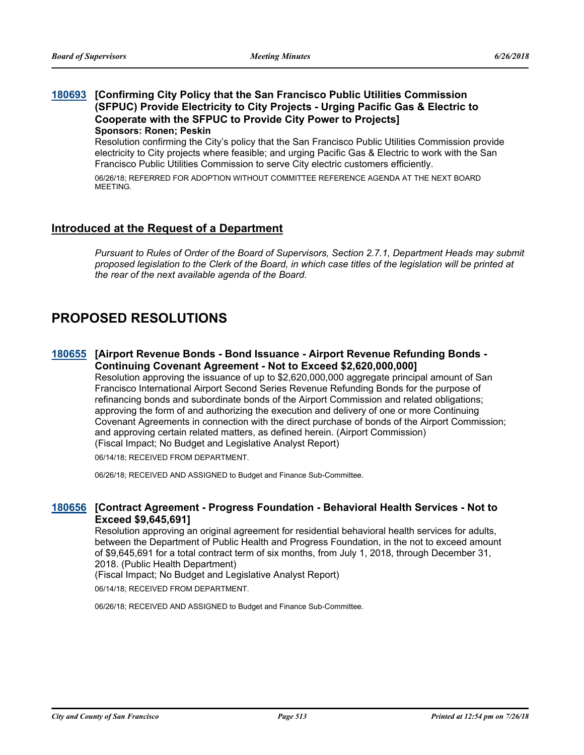### **[Confirming City Policy that the San Francisco Public Utilities Commission [180693](http://sfgov.legistar.com/gateway.aspx?m=l&id=33562) (SFPUC) Provide Electricity to City Projects - Urging Pacific Gas & Electric to Cooperate with the SFPUC to Provide City Power to Projects] Sponsors: Ronen; Peskin**

Resolution confirming the City's policy that the San Francisco Public Utilities Commission provide electricity to City projects where feasible; and urging Pacific Gas & Electric to work with the San Francisco Public Utilities Commission to serve City electric customers efficiently.

06/26/18; REFERRED FOR ADOPTION WITHOUT COMMITTEE REFERENCE AGENDA AT THE NEXT BOARD MEETING.

## **Introduced at the Request of a Department**

*Pursuant to Rules of Order of the Board of Supervisors, Section 2.7.1, Department Heads may submit proposed legislation to the Clerk of the Board, in which case titles of the legislation will be printed at the rear of the next available agenda of the Board.*

## **PROPOSED RESOLUTIONS**

## [180655](http://sfgov.legistar.com/gateway.aspx?m=l&id=33524) [Airport Revenue Bonds - Bond Issuance - Airport Revenue Refunding Bonds -**Continuing Covenant Agreement - Not to Exceed \$2,620,000,000]**

Resolution approving the issuance of up to \$2,620,000,000 aggregate principal amount of San Francisco International Airport Second Series Revenue Refunding Bonds for the purpose of refinancing bonds and subordinate bonds of the Airport Commission and related obligations; approving the form of and authorizing the execution and delivery of one or more Continuing Covenant Agreements in connection with the direct purchase of bonds of the Airport Commission; and approving certain related matters, as defined herein. (Airport Commission) (Fiscal Impact; No Budget and Legislative Analyst Report)

06/14/18; RECEIVED FROM DEPARTMENT.

06/26/18; RECEIVED AND ASSIGNED to Budget and Finance Sub-Committee.

## **[Contract Agreement - Progress Foundation - Behavioral Health Services - Not to [180656](http://sfgov.legistar.com/gateway.aspx?m=l&id=33525) Exceed \$9,645,691]**

Resolution approving an original agreement for residential behavioral health services for adults, between the Department of Public Health and Progress Foundation, in the not to exceed amount of \$9,645,691 for a total contract term of six months, from July 1, 2018, through December 31, 2018. (Public Health Department)

(Fiscal Impact; No Budget and Legislative Analyst Report)

06/14/18; RECEIVED FROM DEPARTMENT.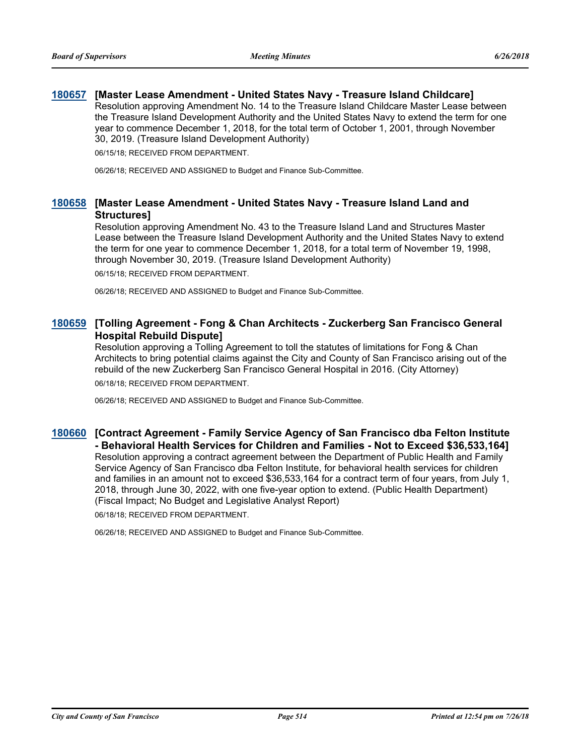## **[180657](http://sfgov.legistar.com/gateway.aspx?m=l&id=33526) [Master Lease Amendment - United States Navy - Treasure Island Childcare]**

Resolution approving Amendment No. 14 to the Treasure Island Childcare Master Lease between the Treasure Island Development Authority and the United States Navy to extend the term for one year to commence December 1, 2018, for the total term of October 1, 2001, through November 30, 2019. (Treasure Island Development Authority)

06/15/18; RECEIVED FROM DEPARTMENT.

06/26/18; RECEIVED AND ASSIGNED to Budget and Finance Sub-Committee.

## **[Master Lease Amendment - United States Navy - Treasure Island Land and [180658](http://sfgov.legistar.com/gateway.aspx?m=l&id=33527) Structures]**

Resolution approving Amendment No. 43 to the Treasure Island Land and Structures Master Lease between the Treasure Island Development Authority and the United States Navy to extend the term for one year to commence December 1, 2018, for a total term of November 19, 1998, through November 30, 2019. (Treasure Island Development Authority)

06/15/18; RECEIVED FROM DEPARTMENT.

06/26/18; RECEIVED AND ASSIGNED to Budget and Finance Sub-Committee.

## **[Tolling Agreement - Fong & Chan Architects - Zuckerberg San Francisco General [180659](http://sfgov.legistar.com/gateway.aspx?m=l&id=33528) Hospital Rebuild Dispute]**

Resolution approving a Tolling Agreement to toll the statutes of limitations for Fong & Chan Architects to bring potential claims against the City and County of San Francisco arising out of the rebuild of the new Zuckerberg San Francisco General Hospital in 2016. (City Attorney)

06/18/18; RECEIVED FROM DEPARTMENT.

06/26/18; RECEIVED AND ASSIGNED to Budget and Finance Sub-Committee.

## **[Contract Agreement - Family Service Agency of San Francisco dba Felton Institute [180660](http://sfgov.legistar.com/gateway.aspx?m=l&id=33529) - Behavioral Health Services for Children and Families - Not to Exceed \$36,533,164]** Resolution approving a contract agreement between the Department of Public Health and Family Service Agency of San Francisco dba Felton Institute, for behavioral health services for children and families in an amount not to exceed \$36,533,164 for a contract term of four years, from July 1, 2018, through June 30, 2022, with one five-year option to extend. (Public Health Department) (Fiscal Impact; No Budget and Legislative Analyst Report)

06/18/18; RECEIVED FROM DEPARTMENT.